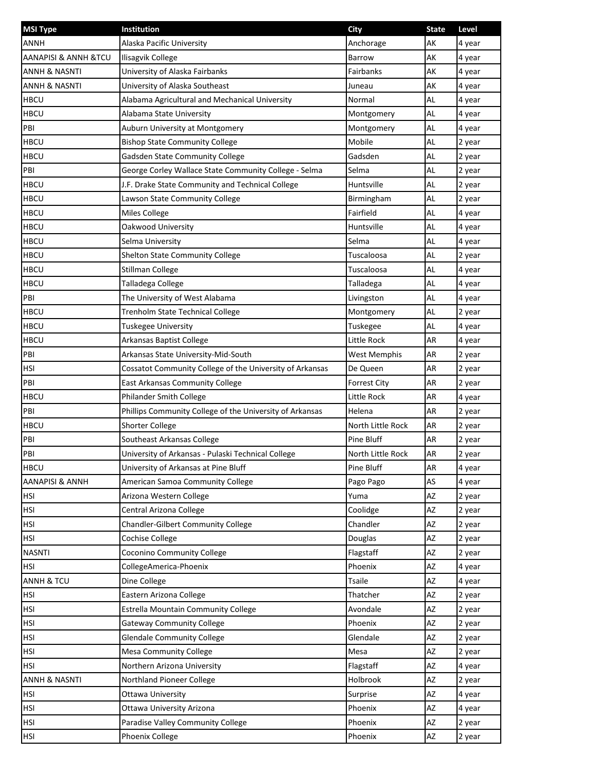| <b>MSI Type</b>                     | Institution                                              | City                | <b>State</b> | Level  |
|-------------------------------------|----------------------------------------------------------|---------------------|--------------|--------|
| <b>ANNH</b>                         | Alaska Pacific University                                | Anchorage           | АΚ           | 4 year |
| <b>AANAPISI &amp; ANNH &amp;TCU</b> | <b>Ilisagvik College</b>                                 | <b>Barrow</b>       | AK           | 4 year |
| ANNH & NASNTI                       | University of Alaska Fairbanks                           | Fairbanks           | AK           | 4 year |
| ANNH & NASNTI                       | University of Alaska Southeast                           | Juneau              | AK           | 4 year |
| <b>HBCU</b>                         | Alabama Agricultural and Mechanical University           | Normal              | AL           | 4 year |
| <b>HBCU</b>                         | Alabama State University                                 | Montgomery          | AL           | 4 year |
| PBI                                 | Auburn University at Montgomery                          | Montgomery          | AL           | 4 year |
| <b>HBCU</b>                         | <b>Bishop State Community College</b>                    | Mobile              | AL           | 2 year |
| <b>HBCU</b>                         | Gadsden State Community College                          | Gadsden             | AL           | 2 year |
| PBI                                 | George Corley Wallace State Community College - Selma    | Selma               | AL           | 2 year |
| <b>HBCU</b>                         | J.F. Drake State Community and Technical College         | Huntsville          | AL           | 2 year |
| <b>HBCU</b>                         | Lawson State Community College                           | Birmingham          | AL           | 2 year |
| <b>HBCU</b>                         | <b>Miles College</b>                                     | Fairfield           | AL           | 4 year |
| <b>HBCU</b>                         | Oakwood University                                       | Huntsville          | AL           | 4 year |
| <b>HBCU</b>                         | Selma University                                         | Selma               | AL           | 4 year |
| <b>HBCU</b>                         | Shelton State Community College                          | Tuscaloosa          | AL           | 2 year |
| <b>HBCU</b>                         | <b>Stillman College</b>                                  | Tuscaloosa          | AL           | 4 year |
| <b>HBCU</b>                         | Talladega College                                        | Talladega           | AL           | 4 year |
| PBI                                 | The University of West Alabama                           | Livingston          | AL           | 4 year |
| <b>HBCU</b>                         | Trenholm State Technical College                         | Montgomery          | AL           | 2 year |
| <b>HBCU</b>                         | Tuskegee University                                      | Tuskegee            | AL           | 4 year |
| <b>HBCU</b>                         | Arkansas Baptist College                                 | Little Rock         | AR           | 4 year |
| PBI                                 | Arkansas State University-Mid-South                      | <b>West Memphis</b> | AR           | 2 year |
| HSI                                 | Cossatot Community College of the University of Arkansas | De Queen            | AR           | 2 year |
| PBI                                 | East Arkansas Community College                          | <b>Forrest City</b> | AR           | 2 year |
| <b>HBCU</b>                         | Philander Smith College                                  | Little Rock         | AR           | 4 year |
| PBI                                 | Phillips Community College of the University of Arkansas | Helena              | AR           | 2 year |
| <b>HBCU</b>                         | <b>Shorter College</b>                                   | North Little Rock   | AR           | 2 year |
| PBI                                 | Southeast Arkansas College                               | Pine Bluff          | AR           | 2 year |
| PBI                                 | University of Arkansas - Pulaski Technical College       | North Little Rock   | AR           | 2 year |
| <b>HBCU</b>                         | University of Arkansas at Pine Bluff                     | Pine Bluff          | AR           | 4 year |
| <b>AANAPISI &amp; ANNH</b>          | American Samoa Community College                         | Pago Pago           | AS           | 4 year |
| HSI                                 | Arizona Western College                                  | Yuma                | AZ           | 2 year |
| <b>HSI</b>                          | Central Arizona College                                  | Coolidge            | AZ           | 2 year |
| <b>HSI</b>                          | Chandler-Gilbert Community College                       | Chandler            | AZ           | 2 year |
| <b>HSI</b>                          | Cochise College                                          | Douglas             | AZ           | 2 year |
| <b>NASNTI</b>                       | Coconino Community College                               | Flagstaff           | AZ           | 2 year |
| <b>HSI</b>                          | CollegeAmerica-Phoenix                                   | Phoenix             | AZ           | 4 year |
| <b>ANNH &amp; TCU</b>               | Dine College                                             | <b>Tsaile</b>       | AZ           | 4 year |
| HSI                                 | Eastern Arizona College                                  | Thatcher            | AZ           | 2 year |
| <b>HSI</b>                          | Estrella Mountain Community College                      | Avondale            | AZ           | 2 year |
| <b>HSI</b>                          | <b>Gateway Community College</b>                         | Phoenix             | AZ           | 2 year |
| <b>HSI</b>                          | <b>Glendale Community College</b>                        | Glendale            | AZ           | 2 year |
| <b>HSI</b>                          | <b>Mesa Community College</b>                            | Mesa                | AZ           | 2 year |
| HSI                                 | Northern Arizona University                              | Flagstaff           | AZ           | 4 year |
| ANNH & NASNTI                       | Northland Pioneer College                                | Holbrook            | AZ           | 2 year |
| <b>HSI</b>                          | Ottawa University                                        | Surprise            | AZ           | 4 year |
| <b>HSI</b>                          | Ottawa University Arizona                                | Phoenix             | AZ           | 4 year |
| <b>HSI</b>                          | Paradise Valley Community College                        | Phoenix             | AZ           | 2 year |
| <b>HSI</b>                          | Phoenix College                                          | Phoenix             | AZ           | 2 year |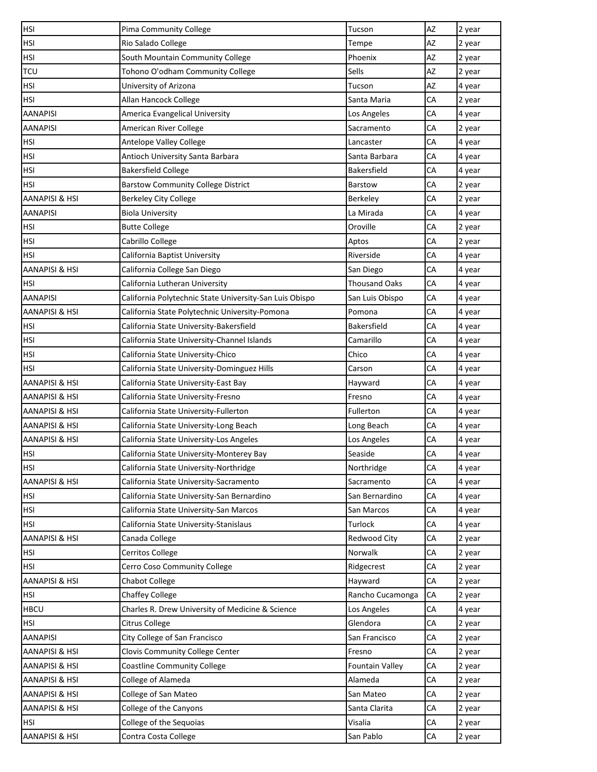| <b>HSI</b>                | Pima Community College                                  | Tucson                 | AZ | 2 year |
|---------------------------|---------------------------------------------------------|------------------------|----|--------|
| HSI                       | Rio Salado College                                      | Tempe                  | AZ | 2 year |
| HSI                       | South Mountain Community College                        | Phoenix                | AZ | 2 year |
| <b>TCU</b>                | Tohono O'odham Community College                        | Sells                  | AZ | 2 year |
| HSI                       | University of Arizona                                   | Tucson                 | AZ | 4 year |
| <b>HSI</b>                | Allan Hancock College                                   | Santa Maria            | CA | 2 year |
| AANAPISI                  | America Evangelical University                          | Los Angeles            | СA | 4 year |
| AANAPISI                  | American River College                                  | Sacramento             | CA | 2 year |
| HSI                       | Antelope Valley College                                 | Lancaster              | СA | 4 year |
| <b>HSI</b>                | Antioch University Santa Barbara                        | Santa Barbara          | CA | 4 year |
| <b>HSI</b>                | <b>Bakersfield College</b>                              | <b>Bakersfield</b>     | CA | 4 year |
| HSI                       | <b>Barstow Community College District</b>               | Barstow                | CA | 2 year |
| AANAPISI & HSI            | <b>Berkeley City College</b>                            | Berkeley               | СA | 2 year |
| <b>AANAPISI</b>           | <b>Biola University</b>                                 | La Mirada              | CA | 4 year |
| HSI                       | <b>Butte College</b>                                    | Oroville               | CA | 2 year |
| <b>HSI</b>                | Cabrillo College                                        | Aptos                  | CA | 2 year |
| HSI                       | California Baptist University                           | Riverside              | CA | 4 year |
| AANAPISI & HSI            | California College San Diego                            | San Diego              | CA | 4 year |
| HSI                       | California Lutheran University                          | <b>Thousand Oaks</b>   | CA | 4 year |
| <b>AANAPISI</b>           | California Polytechnic State University-San Luis Obispo | San Luis Obispo        | CA | 4 year |
| AANAPISI & HSI            | California State Polytechnic University-Pomona          | Pomona                 | CA | 4 year |
| HSI                       | California State University-Bakersfield                 | <b>Bakersfield</b>     | CA | 4 year |
| <b>HSI</b>                | California State University-Channel Islands             | Camarillo              | CA | 4 year |
| <b>HSI</b>                | California State University-Chico                       | Chico                  | CA | 4 year |
| HSI                       | California State University-Dominguez Hills             | Carson                 | CA | 4 year |
| AANAPISI & HSI            | California State University-East Bay                    | Hayward                | CA | 4 year |
| AANAPISI & HSI            | California State University-Fresno                      | Fresno                 | CA | 4 year |
| AANAPISI & HSI            | California State University-Fullerton                   | Fullerton              | CA | 4 year |
| AANAPISI & HSI            | California State University-Long Beach                  | Long Beach             | CA | 4 year |
| <b>AANAPISI &amp; HSI</b> | California State University-Los Angeles                 | Los Angeles            | CA | 4 year |
| <b>HSI</b>                | California State University-Monterey Bay                | Seaside                | CA | 4 year |
| <b>HSI</b>                | California State University-Northridge                  | Northridge             | CA | 4 year |
| <b>AANAPISI &amp; HSI</b> | California State University-Sacramento                  | Sacramento             | CA | 4 year |
| HSI                       | California State University-San Bernardino              | San Bernardino         | CA | 4 year |
| <b>HSI</b>                | California State University-San Marcos                  | San Marcos             | CA | 4 year |
| HSI                       | California State University-Stanislaus                  | Turlock                | CA | 4 year |
| AANAPISI & HSI            | Canada College                                          | <b>Redwood City</b>    | CA | 2 year |
| HSI                       | <b>Cerritos College</b>                                 | Norwalk                | CA | 2 year |
| HSI                       | Cerro Coso Community College                            | Ridgecrest             | CA | 2 year |
| AANAPISI & HSI            | <b>Chabot College</b>                                   | Hayward                | CA | 2 year |
| HSI                       | <b>Chaffey College</b>                                  | Rancho Cucamonga       | CA | 2 year |
| <b>HBCU</b>               | Charles R. Drew University of Medicine & Science        | Los Angeles            | CA | 4 year |
| HSI                       | Citrus College                                          | Glendora               | CA | 2 year |
| <b>AANAPISI</b>           | City College of San Francisco                           | San Francisco          | CA | 2 year |
| AANAPISI & HSI            | Clovis Community College Center                         | Fresno                 | CA | 2 year |
| AANAPISI & HSI            | <b>Coastline Community College</b>                      | <b>Fountain Valley</b> | CA | 2 year |
| AANAPISI & HSI            | College of Alameda                                      | Alameda                | CA | 2 year |
| AANAPISI & HSI            | College of San Mateo                                    | San Mateo              | CA | 2 year |
| AANAPISI & HSI            | College of the Canyons                                  | Santa Clarita          | CA | 2 year |
| HSI                       | College of the Sequoias                                 | Visalia                | CA | 2 year |
| <b>AANAPISI &amp; HSI</b> | Contra Costa College                                    | San Pablo              | CA | 2 year |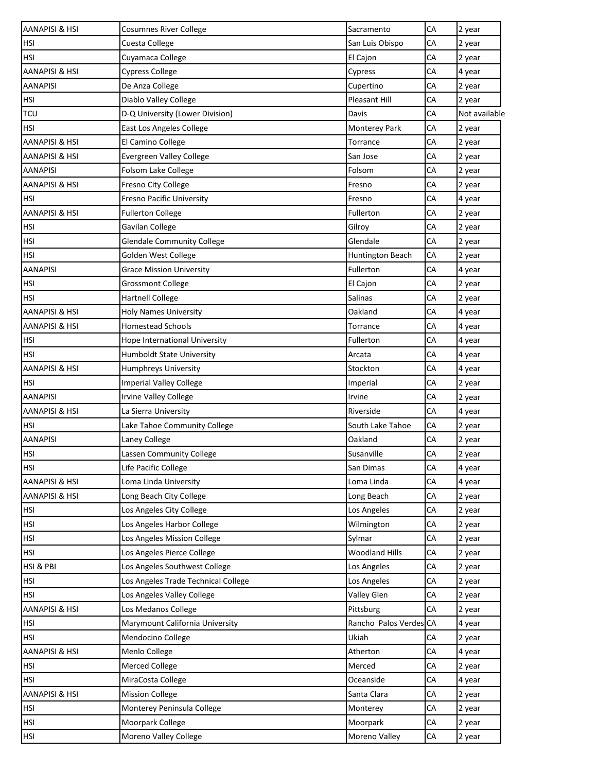| <b>AANAPISI &amp; HSI</b> | <b>Cosumnes River College</b>       | Sacramento             | CA | 2 year        |
|---------------------------|-------------------------------------|------------------------|----|---------------|
| <b>HSI</b>                | Cuesta College                      | San Luis Obispo        | CA | 2 year        |
| <b>HSI</b>                | Cuyamaca College                    | El Cajon               | CA | 2 year        |
| <b>AANAPISI &amp; HSI</b> | <b>Cypress College</b>              | Cypress                | СA | 4 year        |
| <b>AANAPISI</b>           | De Anza College                     | Cupertino              | СA | 2 year        |
| <b>HSI</b>                | Diablo Valley College               | Pleasant Hill          | СA | 2 year        |
| <b>TCU</b>                | D-Q University (Lower Division)     | Davis                  | CA | Not available |
| <b>HSI</b>                | East Los Angeles College            | <b>Monterey Park</b>   | CA | 2 year        |
| <b>AANAPISI &amp; HSI</b> | El Camino College                   | Torrance               | CA | 2 year        |
| AANAPISI & HSI            | <b>Evergreen Valley College</b>     | San Jose               | CA | 2 year        |
| <b>AANAPISI</b>           | Folsom Lake College                 | Folsom                 | СA | 2 year        |
| AANAPISI & HSI            | Fresno City College                 | Fresno                 | СA | 2 year        |
| <b>HSI</b>                | <b>Fresno Pacific University</b>    | Fresno                 | СA | 4 year        |
| <b>AANAPISI &amp; HSI</b> | <b>Fullerton College</b>            | Fullerton              | СA | 2 year        |
| <b>HSI</b>                | Gavilan College                     | Gilroy                 | CA | 2 year        |
| <b>HSI</b>                | <b>Glendale Community College</b>   | Glendale               | CA | 2 year        |
| <b>HSI</b>                | Golden West College                 | Huntington Beach       | СA | 2 year        |
| <b>AANAPISI</b>           | <b>Grace Mission University</b>     | Fullerton              | СA | 4 year        |
| <b>HSI</b>                | <b>Grossmont College</b>            | El Cajon               | CA | 2 year        |
| <b>HSI</b>                | <b>Hartnell College</b>             | <b>Salinas</b>         | CA | 2 year        |
| <b>AANAPISI &amp; HSI</b> | <b>Holy Names University</b>        | Oakland                | CA | 4 year        |
| AANAPISI & HSI            | <b>Homestead Schools</b>            | Torrance               | CA | 4 year        |
| <b>HSI</b>                | Hope International University       | Fullerton              | СA | 4 year        |
| <b>HSI</b>                | Humboldt State University           | Arcata                 | СA | 4 year        |
| <b>AANAPISI &amp; HSI</b> | Humphreys University                | Stockton               | CA | 4 year        |
| <b>HSI</b>                | <b>Imperial Valley College</b>      | Imperial               | СA | 2 year        |
| <b>AANAPISI</b>           | <b>Irvine Valley College</b>        | Irvine                 | CA | 2 year        |
| <b>AANAPISI &amp; HSI</b> | La Sierra University                | Riverside              | CA | 4 year        |
| <b>HSI</b>                | Lake Tahoe Community College        | South Lake Tahoe       | СA | 2 year        |
| <b>AANAPISI</b>           | Laney College                       | Oakland                | CA | 2 year        |
| <b>HSI</b>                | Lassen Community College            | Susanville             | CA | 2 year        |
| <b>HSI</b>                | Life Pacific College                | San Dimas              | CA | 4 year        |
| <b>AANAPISI &amp; HSI</b> | Loma Linda University               | Loma Linda             | СA | 4 year        |
| <b>AANAPISI &amp; HSI</b> | Long Beach City College             | Long Beach             | CA | 2 year        |
| <b>HSI</b>                | Los Angeles City College            | Los Angeles            | СA | 2 year        |
| <b>HSI</b>                | Los Angeles Harbor College          | Wilmington             | СA | 2 year        |
| <b>HSI</b>                | Los Angeles Mission College         | Sylmar                 | CA | 2 year        |
| <b>HSI</b>                | Los Angeles Pierce College          | <b>Woodland Hills</b>  | СA | 2 year        |
| HSI & PBI                 | Los Angeles Southwest College       | Los Angeles            | CA | 2 year        |
| <b>HSI</b>                | Los Angeles Trade Technical College | Los Angeles            | СA | 2 year        |
| <b>HSI</b>                | Los Angeles Valley College          | Valley Glen            | СA | 2 year        |
| <b>AANAPISI &amp; HSI</b> | Los Medanos College                 | Pittsburg              | СA | 2 year        |
| <b>HSI</b>                | Marymount California University     | Rancho Palos Verdes CA |    | 4 year        |
| <b>HSI</b>                | Mendocino College                   | Ukiah                  | CA | 2 year        |
| <b>AANAPISI &amp; HSI</b> | Menlo College                       | Atherton               | СA | 4 year        |
| <b>HSI</b>                | Merced College                      | Merced                 | CA | 2 year        |
| HSI                       | MiraCosta College                   | Oceanside              | СA | 4 year        |
| <b>AANAPISI &amp; HSI</b> | <b>Mission College</b>              | Santa Clara            | СA | 2 year        |
| <b>HSI</b>                | Monterey Peninsula College          | Monterey               | СA | 2 year        |
| <b>HSI</b>                | Moorpark College                    | Moorpark               | CA | 2 year        |
| HSI                       | Moreno Valley College               | Moreno Valley          | СA | 2 year        |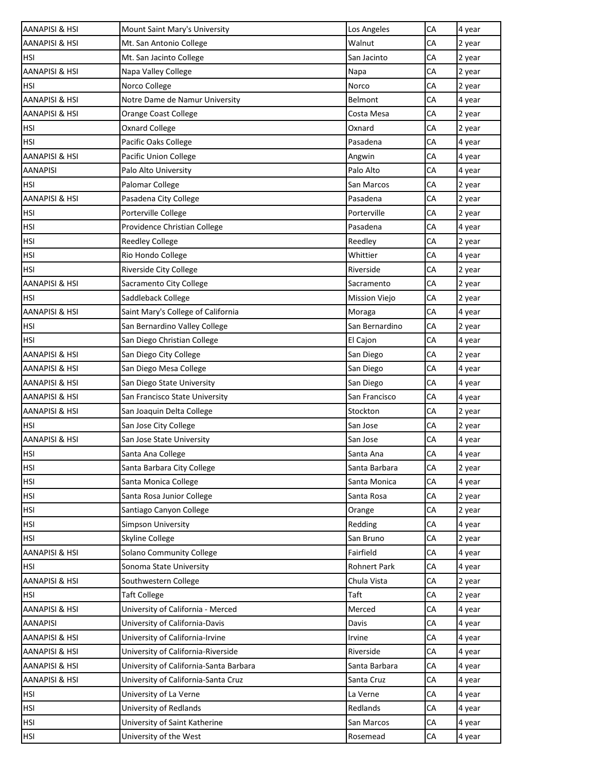| AANAPISI & HSI            | Mount Saint Mary's University          | Los Angeles         | CA | 4 year |
|---------------------------|----------------------------------------|---------------------|----|--------|
| AANAPISI & HSI            | Mt. San Antonio College                | Walnut              | CA | 2 year |
| HSI                       | Mt. San Jacinto College                | San Jacinto         | CA | 2 year |
| AANAPISI & HSI            | Napa Valley College                    | Napa                | CA | 2 year |
| HSI                       | Norco College                          | Norco               | CA | 2 year |
| AANAPISI & HSI            | Notre Dame de Namur University         | Belmont             | CA | 4 year |
| <b>AANAPISI &amp; HSI</b> | Orange Coast College                   | Costa Mesa          | CA | 2 year |
| <b>HSI</b>                | <b>Oxnard College</b>                  | Oxnard              | CA | 2 year |
| HSI                       | Pacific Oaks College                   | Pasadena            | CA | 4 year |
| AANAPISI & HSI            | Pacific Union College                  | Angwin              | CA | 4 year |
| AANAPISI                  | Palo Alto University                   | Palo Alto           | CA | 4 year |
| <b>HSI</b>                | Palomar College                        | San Marcos          | CA | 2 year |
| AANAPISI & HSI            | Pasadena City College                  | Pasadena            | CA | 2 year |
| <b>HSI</b>                | Porterville College                    | Porterville         | CA | 2 year |
| HSI                       | Providence Christian College           | Pasadena            | CA | 4 year |
| <b>HSI</b>                | <b>Reedley College</b>                 | Reedley             | CA | 2 year |
| HSI                       | Rio Hondo College                      | Whittier            | CA | 4 year |
| <b>HSI</b>                | Riverside City College                 | Riverside           | CA | 2 year |
| AANAPISI & HSI            | Sacramento City College                | Sacramento          | CA | 2 year |
| HSI                       | Saddleback College                     | Mission Viejo       | CA | 2 year |
| AANAPISI & HSI            | Saint Mary's College of California     | Moraga              | CA | 4 year |
| HSI                       | San Bernardino Valley College          | San Bernardino      | CA | 2 year |
| HSI                       | San Diego Christian College            | El Cajon            | CA | 4 year |
| AANAPISI & HSI            | San Diego City College                 | San Diego           | CA | 2 year |
| AANAPISI & HSI            | San Diego Mesa College                 | San Diego           | CA | 4 year |
| AANAPISI & HSI            | San Diego State University             | San Diego           | CA | 4 year |
| AANAPISI & HSI            | San Francisco State University         | San Francisco       | CA | 4 year |
| AANAPISI & HSI            | San Joaquin Delta College              | Stockton            | CA | 2 year |
| HSI                       | San Jose City College                  | San Jose            | CA | 2 year |
| AANAPISI & HSI            | San Jose State University              | San Jose            | CA | 4 year |
| <b>HSI</b>                | Santa Ana College                      | Santa Ana           | CA | 4 year |
| HSI                       | Santa Barbara City College             | Santa Barbara       | CA | 2 year |
| HSI                       | Santa Monica College                   | Santa Monica        | CA | 4 year |
| <b>HSI</b>                | Santa Rosa Junior College              | Santa Rosa          | CA | 2 year |
| HSI                       | Santiago Canyon College                | Orange              | CA | 2 year |
| HSI                       | Simpson University                     | Redding             | CA | 4 year |
| <b>HSI</b>                | Skyline College                        | San Bruno           | CA | 2 year |
| AANAPISI & HSI            | Solano Community College               | Fairfield           | CA | 4 year |
| HSI                       | Sonoma State University                | <b>Rohnert Park</b> | CA | 4 year |
| AANAPISI & HSI            | Southwestern College                   | Chula Vista         | CA | 2 year |
| HSI                       | <b>Taft College</b>                    | Taft                | CA | 2 year |
| AANAPISI & HSI            | University of California - Merced      | Merced              | CA | 4 year |
| <b>AANAPISI</b>           | University of California-Davis         | Davis               | CA | 4 year |
| AANAPISI & HSI            | University of California-Irvine        | Irvine              | CA | 4 year |
| <b>AANAPISI &amp; HSI</b> | University of California-Riverside     | Riverside           | CA | 4 year |
| AANAPISI & HSI            | University of California-Santa Barbara | Santa Barbara       | CA | 4 year |
| AANAPISI & HSI            | University of California-Santa Cruz    | Santa Cruz          | CA | 4 year |
| HSI                       | University of La Verne                 | La Verne            | CA | 4 year |
| HSI                       | University of Redlands                 | Redlands            | CA | 4 year |
| HSI                       | University of Saint Katherine          | San Marcos          | CA | 4 year |
| HSI                       | University of the West                 | Rosemead            | CA | 4 year |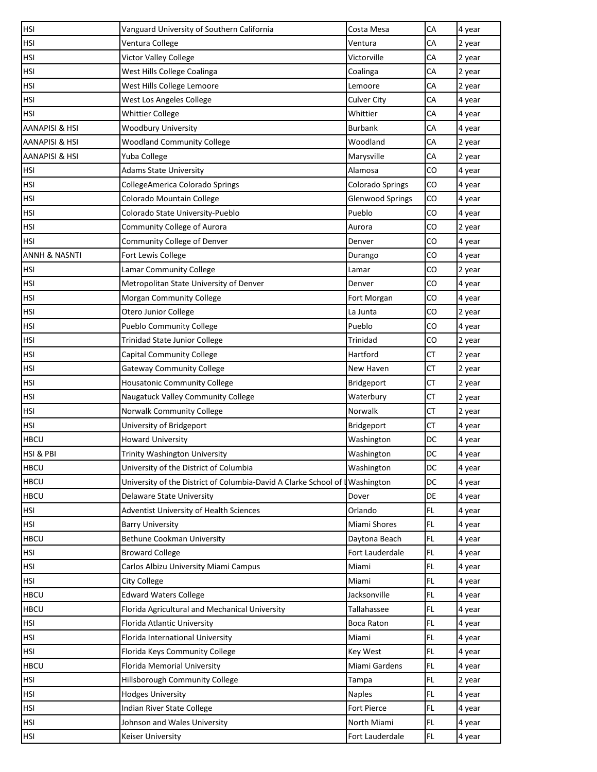| <b>HSI</b>               | Vanguard University of Southern California                      | Costa Mesa              | CA        | 4 year |
|--------------------------|-----------------------------------------------------------------|-------------------------|-----------|--------|
| HSI                      | Ventura College                                                 | Ventura                 | CA        | 2 year |
| HSI                      | Victor Valley College                                           | Victorville             | СA        | 2 year |
| <b>HSI</b>               | West Hills College Coalinga                                     | Coalinga                | CA        | 2 year |
| HSI                      | West Hills College Lemoore                                      | Lemoore                 | CA        | 2 year |
| <b>HSI</b>               | West Los Angeles College                                        | <b>Culver City</b>      | CA        | 4 year |
| HSI                      | <b>Whittier College</b>                                         | Whittier                | СA        | 4 year |
| AANAPISI & HSI           | <b>Woodbury University</b>                                      | Burbank                 | CA        | 4 year |
| AANAPISI & HSI           | <b>Woodland Community College</b>                               | Woodland                | CA        | 2 year |
| AANAPISI & HSI           | Yuba College                                                    | Marysville              | CA        | 2 year |
| HSI                      | <b>Adams State University</b>                                   | Alamosa                 | CO        | 4 year |
| <b>HSI</b>               | CollegeAmerica Colorado Springs                                 | <b>Colorado Springs</b> | CO        | 4 year |
| <b>HSI</b>               | Colorado Mountain College                                       | Glenwood Springs        | CO        | 4 year |
| <b>HSI</b>               | Colorado State University-Pueblo                                | Pueblo                  | CO        | 4 year |
| HSI                      | Community College of Aurora                                     | Aurora                  | CO        | 2 year |
| <b>HSI</b>               | Community College of Denver                                     | Denver                  | CO        | 4 year |
| <b>ANNH &amp; NASNTI</b> | Fort Lewis College                                              | Durango                 | CO        | 4 year |
| HSI                      | Lamar Community College                                         | Lamar                   | CO        | 2 year |
| <b>HSI</b>               | Metropolitan State University of Denver                         | Denver                  | CO        | 4 year |
| HSI                      | Morgan Community College                                        | Fort Morgan             | CO        | 4 year |
| HSI                      | Otero Junior College                                            | La Junta                | CO        | 2 year |
| HSI                      | <b>Pueblo Community College</b>                                 | Pueblo                  | CO        | 4 year |
| <b>HSI</b>               | <b>Trinidad State Junior College</b>                            | Trinidad                | CO        | 2 year |
| HSI                      | <b>Capital Community College</b>                                | Hartford                | CT        | 2 year |
| <b>HSI</b>               | <b>Gateway Community College</b>                                | New Haven               | <b>CT</b> | 2 year |
| <b>HSI</b>               | <b>Housatonic Community College</b>                             | Bridgeport              | CT        | 2 year |
| HSI                      | Naugatuck Valley Community College                              | Waterbury               | СT        | 2 year |
| <b>HSI</b>               | Norwalk Community College                                       | Norwalk                 | CT        | 2 year |
| HSI                      | University of Bridgeport                                        | Bridgeport              | CT        | 4 year |
| <b>HBCU</b>              | <b>Howard University</b>                                        | Washington              | DC        | 4 year |
| <b>HSI &amp; PBI</b>     | <b>Trinity Washington University</b>                            | Washington              | DC        | 4 year |
| <b>HBCU</b>              | University of the District of Columbia                          | Washington              | DC        | 4 year |
| <b>HBCU</b>              | University of the District of Columbia-David A Clarke School of | <b>I</b> Washington     | <b>DC</b> | 4 year |
| <b>HBCU</b>              | Delaware State University                                       | Dover                   | DE        | 4 year |
| <b>HSI</b>               | Adventist University of Health Sciences                         | Orlando                 | FL.       | 4 year |
| HSI                      | <b>Barry University</b>                                         | Miami Shores            | FL        | 4 year |
| <b>HBCU</b>              | <b>Bethune Cookman University</b>                               | Daytona Beach           | FL        | 4 year |
| HSI                      | <b>Broward College</b>                                          | Fort Lauderdale         | FL.       | 4 year |
| HSI                      | Carlos Albizu University Miami Campus                           | Miami                   | FL.       | 4 year |
| HSI                      | <b>City College</b>                                             | Miami                   | <b>FL</b> | 4 year |
| <b>HBCU</b>              | <b>Edward Waters College</b>                                    | Jacksonville            | FL        | 4 year |
| <b>HBCU</b>              | Florida Agricultural and Mechanical University                  | Tallahassee             | <b>FL</b> | 4 year |
| HSI                      | Florida Atlantic University                                     | Boca Raton              | FL.       | 4 year |
| <b>HSI</b>               | Florida International University                                | Miami                   | FL.       | 4 year |
| <b>HSI</b>               | Florida Keys Community College                                  | Key West                | FL.       | 4 year |
| <b>HBCU</b>              | Florida Memorial University                                     | Miami Gardens           | FL        | 4 year |
| <b>HSI</b>               | Hillsborough Community College                                  | Tampa                   | <b>FL</b> | 2 year |
| HSI                      | <b>Hodges University</b>                                        | <b>Naples</b>           | FL.       | 4 year |
| <b>HSI</b>               | Indian River State College                                      | Fort Pierce             | FL        | 4 year |
| <b>HSI</b>               | Johnson and Wales University                                    | North Miami             | FL.       | 4 year |
| HSI                      | Keiser University                                               | Fort Lauderdale         | FL.       | 4 year |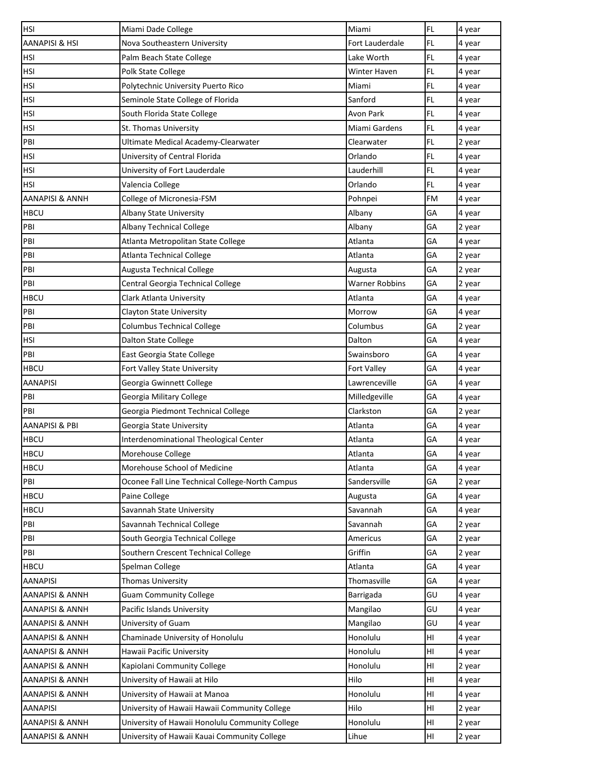| <b>HSI</b>                 | Miami Dade College                              | Miami                 | <b>FL</b> | 4 year |
|----------------------------|-------------------------------------------------|-----------------------|-----------|--------|
| AANAPISI & HSI             | Nova Southeastern University                    | Fort Lauderdale       | <b>FL</b> | 4 year |
| HSI                        | Palm Beach State College                        | Lake Worth            | <b>FL</b> | 4 year |
| <b>HSI</b>                 | Polk State College                              | Winter Haven          | <b>FL</b> | 4 year |
| HSI                        | Polytechnic University Puerto Rico              | Miami                 | <b>FL</b> | 4 year |
| <b>HSI</b>                 | Seminole State College of Florida               | Sanford               | <b>FL</b> | 4 year |
| <b>HSI</b>                 | South Florida State College                     | Avon Park             | FL        | 4 year |
| HSI                        | St. Thomas University                           | Miami Gardens         | FL        | 4 year |
| PBI                        | Ultimate Medical Academy-Clearwater             | Clearwater            | FL        | 2 year |
| HSI                        | University of Central Florida                   | Orlando               | FL        | 4 year |
| <b>HSI</b>                 | University of Fort Lauderdale                   | Lauderhill            | <b>FL</b> | 4 year |
| HSI                        | Valencia College                                | Orlando               | FL        | 4 year |
| AANAPISI & ANNH            | College of Micronesia-FSM                       | Pohnpei               | <b>FM</b> | 4 year |
| <b>HBCU</b>                | Albany State University                         | Albany                | GA        | 4 year |
| PBI                        | <b>Albany Technical College</b>                 | Albany                | GA        | 2 year |
| PBI                        | Atlanta Metropolitan State College              | Atlanta               | GA        | 4 year |
| PBI                        | <b>Atlanta Technical College</b>                | Atlanta               | GA        | 2 year |
| PBI                        | Augusta Technical College                       | Augusta               | GA        | 2 year |
| PBI                        | Central Georgia Technical College               | <b>Warner Robbins</b> | GA        | 2 year |
| HBCU                       | Clark Atlanta University                        | Atlanta               | GA        | 4 year |
| PBI                        | Clayton State University                        | Morrow                | GA        | 4 year |
| PBI                        | <b>Columbus Technical College</b>               | Columbus              | GA        | 2 year |
| HSI                        | Dalton State College                            | Dalton                | GA        | 4 year |
| PBI                        | East Georgia State College                      | Swainsboro            | GA        | 4 year |
| <b>HBCU</b>                | Fort Valley State University                    | Fort Valley           | GA        | 4 year |
| <b>AANAPISI</b>            | Georgia Gwinnett College                        | Lawrenceville         | GA        | 4 year |
| PBI                        | Georgia Military College                        | Milledgeville         | GА        | 4 year |
| PBI                        | Georgia Piedmont Technical College              | Clarkston             | GA        | 2 year |
| <b>AANAPISI &amp; PBI</b>  | Georgia State University                        | Atlanta               | GA        | 4 year |
| <b>HBCU</b>                | Interdenominational Theological Center          | Atlanta               | GA        | 4 year |
| <b>HBCU</b>                | Morehouse College                               | Atlanta               | GA        | 4 year |
| <b>HBCU</b>                | Morehouse School of Medicine                    | Atlanta               | GA        | 4 year |
| PBI                        | Oconee Fall Line Technical College-North Campus | Sandersville          | GA        | 2 year |
| <b>HBCU</b>                | Paine College                                   | Augusta               | GA        | 4 year |
| <b>HBCU</b>                | Savannah State University                       | Savannah              | GA        | 4 year |
| PBI                        | Savannah Technical College                      | Savannah              | GA        | 2 year |
| PBI                        | South Georgia Technical College                 | Americus              | GA        | 2 year |
| PBI                        | Southern Crescent Technical College             | Griffin               | GA        | 2 year |
| HBCU                       | Spelman College                                 | Atlanta               | GA        | 4 year |
| AANAPISI                   | Thomas University                               | Thomasville           | GA        | 4 year |
| AANAPISI & ANNH            | <b>Guam Community College</b>                   | Barrigada             | GU        | 4 year |
| AANAPISI & ANNH            | Pacific Islands University                      | Mangilao              | GU        | 4 year |
| AANAPISI & ANNH            | University of Guam                              | Mangilao              | GU        | 4 year |
| AANAPISI & ANNH            | Chaminade University of Honolulu                | Honolulu              | HI        | 4 year |
| <b>AANAPISI &amp; ANNH</b> | Hawaii Pacific University                       | Honolulu              | HI        | 4 year |
| AANAPISI & ANNH            | Kapiolani Community College                     | Honolulu              | HI        | 2 year |
| AANAPISI & ANNH            | University of Hawaii at Hilo                    | Hilo                  | HI        | 4 year |
| AANAPISI & ANNH            | University of Hawaii at Manoa                   | Honolulu              | HI        | 4 year |
| <b>AANAPISI</b>            | University of Hawaii Hawaii Community College   | Hilo                  | HI        | 2 year |
| AANAPISI & ANNH            | University of Hawaii Honolulu Community College | Honolulu              | HI        | 2 year |
| <b>AANAPISI &amp; ANNH</b> | University of Hawaii Kauai Community College    | Lihue                 | HI        | 2 year |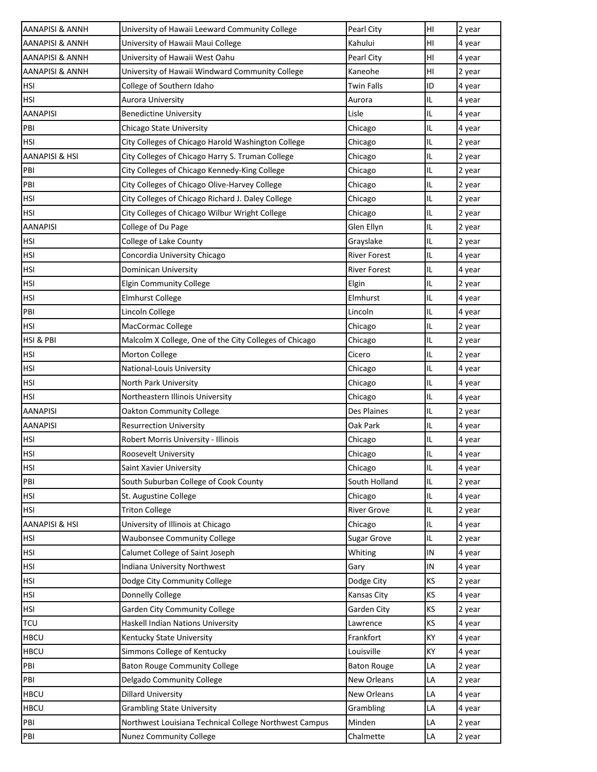| <b>AANAPISI &amp; ANNH</b> | University of Hawaii Leeward Community College         | Pearl City          | HI         | 2 year |
|----------------------------|--------------------------------------------------------|---------------------|------------|--------|
| AANAPISI & ANNH            | University of Hawaii Maui College                      | Kahului             | HI         | 4 year |
| AANAPISI & ANNH            | University of Hawaii West Oahu                         | Pearl City          | HI         | 4 year |
| <b>AANAPISI &amp; ANNH</b> | University of Hawaii Windward Community College        | Kaneohe             | HI         | 2 year |
| HSI                        | College of Southern Idaho                              | Twin Falls          | ID         | 4 year |
| <b>HSI</b>                 | Aurora University                                      | Aurora              | IL         | 4 year |
| <b>AANAPISI</b>            | <b>Benedictine University</b>                          | Lisle               | IL         | 4 year |
| PBI                        | Chicago State University                               | Chicago             | IL         | 4 year |
| <b>HSI</b>                 | City Colleges of Chicago Harold Washington College     | Chicago             | IL         | 2 year |
| <b>AANAPISI &amp; HSI</b>  | City Colleges of Chicago Harry S. Truman College       | Chicago             | IL         | 2 year |
| PBI                        | City Colleges of Chicago Kennedy-King College          | Chicago             | IL         | 2 year |
| PBI                        | City Colleges of Chicago Olive-Harvey College          | Chicago             | IL         | 2 year |
| <b>HSI</b>                 | City Colleges of Chicago Richard J. Daley College      | Chicago             | IL         | 2 year |
| <b>HSI</b>                 | City Colleges of Chicago Wilbur Wright College         | Chicago             | IL         | 2 year |
| <b>AANAPISI</b>            | College of Du Page                                     | Glen Ellyn          | IL         | 2 year |
| <b>HSI</b>                 | College of Lake County                                 | Grayslake           | IL         | 2 year |
| <b>HSI</b>                 | Concordia University Chicago                           | <b>River Forest</b> | IL         | 4 year |
| <b>HSI</b>                 | Dominican University                                   | <b>River Forest</b> | IL         | 4 year |
| <b>HSI</b>                 | <b>Elgin Community College</b>                         | Elgin               | IL         | 2 year |
| <b>HSI</b>                 | <b>Elmhurst College</b>                                | Elmhurst            | IL         | 4 year |
| PBI                        | Lincoln College                                        | Lincoln             | IL         | 4 year |
| <b>HSI</b>                 | MacCormac College                                      | Chicago             | IL         | 2 year |
| HSI & PBI                  | Malcolm X College, One of the City Colleges of Chicago | Chicago             | IL         | 2 year |
| <b>HSI</b>                 | Morton College                                         | Cicero              | IL         | 2 year |
| <b>HSI</b>                 | National-Louis University                              | Chicago             | IL         | 4 year |
| <b>HSI</b>                 | North Park University                                  | Chicago             | IL         | 4 year |
| <b>HSI</b>                 | Northeastern Illinois University                       | Chicago             | IL         | 4 year |
| AANAPISI                   | <b>Oakton Community College</b>                        | Des Plaines         | IL.        | 2 year |
| <b>AANAPISI</b>            | <b>Resurrection University</b>                         | Oak Park            | IL         | 4 year |
| <b>HSI</b>                 | Robert Morris University - Illinois                    | Chicago             | IL         | 4 year |
| HSI                        | Roosevelt University                                   | Chicago             | IL         | 4 year |
| <b>HSI</b>                 | Saint Xavier University                                | Chicago             | IL         | 4 year |
| PBI                        | South Suburban College of Cook County                  | South Holland       | IL         | 2 year |
| <b>HSI</b>                 | St. Augustine College                                  | Chicago             | IL         | 4 year |
| <b>HSI</b>                 | <b>Triton College</b>                                  | <b>River Grove</b>  | IL         | 2 year |
| AANAPISI & HSI             | University of Illinois at Chicago                      | Chicago             | IL         | 4 year |
| HSI                        | <b>Waubonsee Community College</b>                     | Sugar Grove         | IL         | 2 year |
| <b>HSI</b>                 | Calumet College of Saint Joseph                        | Whiting             | IN         | 4 year |
| <b>HSI</b>                 | <b>Indiana University Northwest</b>                    | Gary                | ${\sf IN}$ | 4 year |
| HSI                        | Dodge City Community College                           | Dodge City          | KS         | 2 year |
| <b>HSI</b>                 | Donnelly College                                       | Kansas City         | <b>KS</b>  | 4 year |
| <b>HSI</b>                 | <b>Garden City Community College</b>                   | Garden City         | <b>KS</b>  | 2 year |
| <b>TCU</b>                 | Haskell Indian Nations University                      | Lawrence            | KS         | 4 year |
| <b>HBCU</b>                | Kentucky State University                              | Frankfort           | KY         | 4 year |
| <b>HBCU</b>                | Simmons College of Kentucky                            | Louisville          | KY         | 4 year |
| PBI                        | <b>Baton Rouge Community College</b>                   | <b>Baton Rouge</b>  | LA         | 2 year |
| PBI                        | Delgado Community College                              | New Orleans         | LA         | 2 year |
| <b>HBCU</b>                | <b>Dillard University</b>                              | New Orleans         | LA         | 4 year |
| <b>HBCU</b>                | <b>Grambling State University</b>                      | Grambling           | LA         | 4 year |
| PBI                        | Northwest Louisiana Technical College Northwest Campus | Minden              | LA         | 2 year |
| PBI                        | <b>Nunez Community College</b>                         | Chalmette           | LA         | 2 year |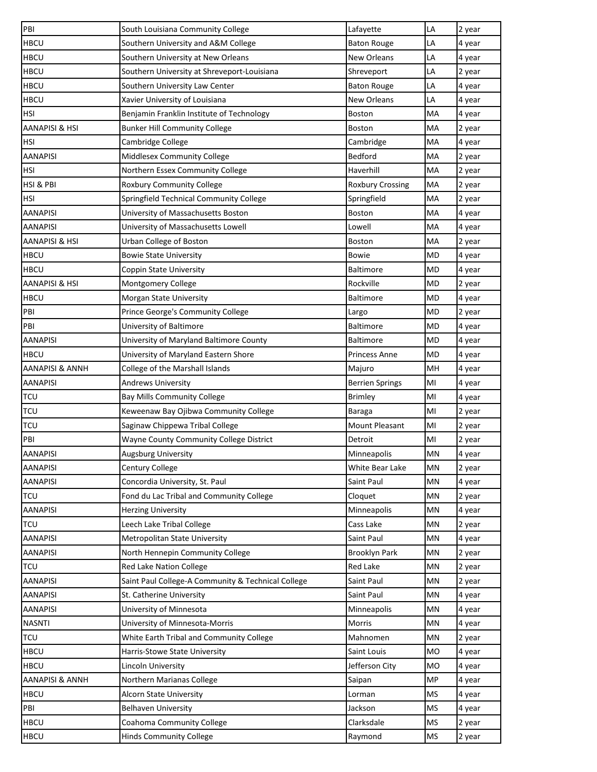| PBI                        | South Louisiana Community College                  | Lafayette               | LA        | 2 year |
|----------------------------|----------------------------------------------------|-------------------------|-----------|--------|
| <b>HBCU</b>                | Southern University and A&M College                | <b>Baton Rouge</b>      | LA        | 4 year |
| <b>HBCU</b>                | Southern University at New Orleans                 | <b>New Orleans</b>      | LA        | 4 year |
| <b>HBCU</b>                | Southern University at Shreveport-Louisiana        | Shreveport              | LA        | 2 year |
| <b>HBCU</b>                | Southern University Law Center                     | <b>Baton Rouge</b>      | LA        | 4 year |
| <b>HBCU</b>                | Xavier University of Louisiana                     | <b>New Orleans</b>      | LA        | 4 year |
| <b>HSI</b>                 | Benjamin Franklin Institute of Technology          | <b>Boston</b>           | MA        | 4 year |
| AANAPISI & HSI             | <b>Bunker Hill Community College</b>               | <b>Boston</b>           | МA        | 2 year |
| <b>HSI</b>                 | Cambridge College                                  | Cambridge               | MA        | 4 year |
| <b>AANAPISI</b>            | Middlesex Community College                        | Bedford                 | MA        | 2 year |
| <b>HSI</b>                 | Northern Essex Community College                   | Haverhill               | MA        | 2 year |
| HSI & PBI                  | <b>Roxbury Community College</b>                   | <b>Roxbury Crossing</b> | МA        | 2 year |
| <b>HSI</b>                 | Springfield Technical Community College            | Springfield             | МA        | 2 year |
| <b>AANAPISI</b>            | University of Massachusetts Boston                 | <b>Boston</b>           | MA        | 4 year |
| <b>AANAPISI</b>            | University of Massachusetts Lowell                 | Lowell                  | МA        | 4 year |
| <b>AANAPISI &amp; HSI</b>  | Urban College of Boston                            | <b>Boston</b>           | MA        | 2 year |
| <b>HBCU</b>                | <b>Bowie State University</b>                      | Bowie                   | <b>MD</b> | 4 year |
| <b>HBCU</b>                | Coppin State University                            | <b>Baltimore</b>        | <b>MD</b> | 4 year |
| <b>AANAPISI &amp; HSI</b>  | Montgomery College                                 | Rockville               | <b>MD</b> | 2 year |
| <b>HBCU</b>                | Morgan State University                            | <b>Baltimore</b>        | MD        | 4 year |
| PBI                        | Prince George's Community College                  | Largo                   | MD        | 2 year |
| PBI                        | University of Baltimore                            | <b>Baltimore</b>        | MD        | 4 year |
| <b>AANAPISI</b>            | University of Maryland Baltimore County            | <b>Baltimore</b>        | <b>MD</b> | 4 year |
| <b>HBCU</b>                | University of Maryland Eastern Shore               | <b>Princess Anne</b>    | <b>MD</b> | 4 year |
| <b>AANAPISI &amp; ANNH</b> | College of the Marshall Islands                    | Majuro                  | MH        | 4 year |
| <b>AANAPISI</b>            | <b>Andrews University</b>                          | <b>Berrien Springs</b>  | MI        | 4 year |
| <b>TCU</b>                 | Bay Mills Community College                        | <b>Brimley</b>          | MI        | 4 year |
| <b>TCU</b>                 | Keweenaw Bay Ojibwa Community College              | Baraga                  | MI        | 2 year |
| <b>TCU</b>                 | Saginaw Chippewa Tribal College                    | Mount Pleasant          | MI        | 2 year |
| PBI                        | Wayne County Community College District            | Detroit                 | MI        | 2 year |
| <b>AANAPISI</b>            | Augsburg University                                | Minneapolis             | MN        | 4 year |
| <b>AANAPISI</b>            | Century College                                    | White Bear Lake         | MN        | 2 year |
| <b>AANAPISI</b>            | Concordia University, St. Paul                     | Saint Paul              | MN        | 4 year |
| <b>TCU</b>                 | Fond du Lac Tribal and Community College           | Cloquet                 | MN        | 2 year |
| <b>AANAPISI</b>            | <b>Herzing University</b>                          | Minneapolis             | MN        | 4 year |
| <b>TCU</b>                 | Leech Lake Tribal College                          | Cass Lake               | MN        | 2 year |
| <b>AANAPISI</b>            | Metropolitan State University                      | Saint Paul              | MN        | 4 year |
| <b>AANAPISI</b>            | North Hennepin Community College                   | Brooklyn Park           | MN        | 2 year |
| <b>TCU</b>                 | Red Lake Nation College                            | Red Lake                | MN        | 2 year |
| <b>AANAPISI</b>            | Saint Paul College-A Community & Technical College | Saint Paul              | MN        | 2 year |
| <b>AANAPISI</b>            | St. Catherine University                           | Saint Paul              | MN        | 4 year |
| <b>AANAPISI</b>            | University of Minnesota                            | Minneapolis             | MN        | 4 year |
| <b>NASNTI</b>              | University of Minnesota-Morris                     | Morris                  | MN        | 4 year |
| <b>TCU</b>                 | White Earth Tribal and Community College           | Mahnomen                | MN        | 2 year |
| <b>HBCU</b>                | Harris-Stowe State University                      | Saint Louis             | <b>MO</b> | 4 year |
| <b>HBCU</b>                | Lincoln University                                 | Jefferson City          | <b>MO</b> | 4 year |
| <b>AANAPISI &amp; ANNH</b> | Northern Marianas College                          | Saipan                  | <b>MP</b> | 4 year |
| <b>HBCU</b>                | Alcorn State University                            | Lorman                  | <b>MS</b> | 4 year |
| PBI                        | <b>Belhaven University</b>                         | Jackson                 | <b>MS</b> | 4 year |
| <b>HBCU</b>                | Coahoma Community College                          | Clarksdale              | <b>MS</b> | 2 year |
| <b>HBCU</b>                | <b>Hinds Community College</b>                     | Raymond                 | <b>MS</b> | 2 year |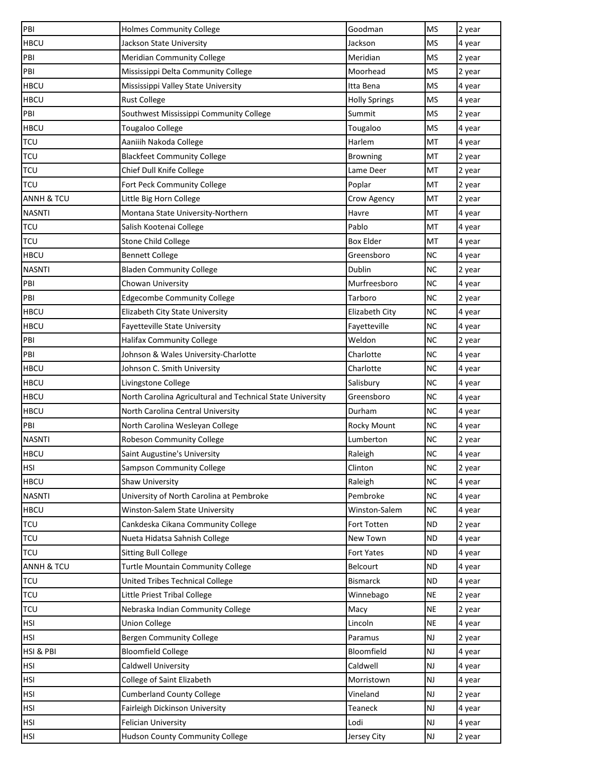| PBI                   | <b>Holmes Community College</b>                            | Goodman              | <b>MS</b>     | 2 year |
|-----------------------|------------------------------------------------------------|----------------------|---------------|--------|
| <b>HBCU</b>           | Jackson State University                                   | Jackson              | <b>MS</b>     | 4 year |
| PBI                   | <b>Meridian Community College</b>                          | Meridian             | <b>MS</b>     | 2 year |
| PBI                   | Mississippi Delta Community College                        | Moorhead             | <b>MS</b>     | 2 year |
| <b>HBCU</b>           | Mississippi Valley State University                        | Itta Bena            | <b>MS</b>     | 4 year |
| <b>HBCU</b>           | <b>Rust College</b>                                        | <b>Holly Springs</b> | <b>MS</b>     | 4 year |
| PBI                   | Southwest Mississippi Community College                    | Summit               | <b>MS</b>     | 2 year |
| <b>HBCU</b>           | Tougaloo College                                           | Tougaloo             | <b>MS</b>     | 4 year |
| <b>TCU</b>            | Aaniiih Nakoda College                                     | Harlem               | MT            | 4 year |
| <b>TCU</b>            | <b>Blackfeet Community College</b>                         | <b>Browning</b>      | MT            | 2 year |
| <b>TCU</b>            | Chief Dull Knife College                                   | Lame Deer            | MT            | 2 year |
| <b>TCU</b>            | Fort Peck Community College                                | Poplar               | MT            | 2 year |
| <b>ANNH &amp; TCU</b> | Little Big Horn College                                    | Crow Agency          | MT            | 2 year |
| <b>NASNTI</b>         | Montana State University-Northern                          | Havre                | MT            | 4 year |
| <b>TCU</b>            | Salish Kootenai College                                    | Pablo                | MT            | 4 year |
| <b>TCU</b>            | <b>Stone Child College</b>                                 | <b>Box Elder</b>     | MT            | 4 year |
| <b>HBCU</b>           | <b>Bennett College</b>                                     | Greensboro           | <b>NC</b>     | 4 year |
| <b>NASNTI</b>         | <b>Bladen Community College</b>                            | Dublin               | <b>NC</b>     | 2 year |
| PBI                   | Chowan University                                          | Murfreesboro         | <b>NC</b>     | 4 year |
| PBI                   | <b>Edgecombe Community College</b>                         | Tarboro              | <b>NC</b>     | 2 year |
| <b>HBCU</b>           | Elizabeth City State University                            | Elizabeth City       | <b>NC</b>     | 4 year |
| <b>HBCU</b>           | Fayetteville State University                              | Fayetteville         | <b>NC</b>     | 4 year |
| PBI                   | <b>Halifax Community College</b>                           | Weldon               | <b>NC</b>     | 2 year |
| PBI                   | Johnson & Wales University-Charlotte                       | Charlotte            | <b>NC</b>     | 4 year |
| <b>HBCU</b>           | Johnson C. Smith University                                | Charlotte            | <b>NC</b>     | 4 year |
| <b>HBCU</b>           | Livingstone College                                        | Salisbury            | <b>NC</b>     | 4 year |
| <b>HBCU</b>           | North Carolina Agricultural and Technical State University | Greensboro           | <b>NC</b>     | 4 year |
| <b>HBCU</b>           | North Carolina Central University                          | Durham               | <b>NC</b>     | 4 year |
| PBI                   | North Carolina Wesleyan College                            | Rocky Mount          | <b>NC</b>     | 4 year |
| <b>NASNTI</b>         | Robeson Community College                                  | Lumberton            | <b>NC</b>     | 2 year |
| <b>HBCU</b>           | Saint Augustine's University                               | Raleigh              | <b>NC</b>     | 4 year |
| <b>HSI</b>            | <b>Sampson Community College</b>                           | Clinton              | <b>NC</b>     | 2 year |
| <b>HBCU</b>           | Shaw University                                            | Raleigh              | <b>NC</b>     | 4 year |
| <b>NASNTI</b>         | University of North Carolina at Pembroke                   | Pembroke             | <b>NC</b>     | 4 year |
| <b>HBCU</b>           | Winston-Salem State University                             | Winston-Salem        | <b>NC</b>     | 4 year |
| <b>TCU</b>            | Cankdeska Cikana Community College                         | Fort Totten          | <b>ND</b>     | 2 year |
| <b>TCU</b>            | Nueta Hidatsa Sahnish College                              | New Town             | <b>ND</b>     | 4 year |
| <b>TCU</b>            | <b>Sitting Bull College</b>                                | <b>Fort Yates</b>    | <b>ND</b>     | 4 year |
| <b>ANNH &amp; TCU</b> | <b>Turtle Mountain Community College</b>                   | Belcourt             | ND            | 4 year |
| <b>TCU</b>            | United Tribes Technical College                            | <b>Bismarck</b>      | <b>ND</b>     | 4 year |
| <b>TCU</b>            | Little Priest Tribal College                               | Winnebago            | <b>NE</b>     | 2 year |
| <b>TCU</b>            | Nebraska Indian Community College                          | Macy                 | <b>NE</b>     | 2 year |
| <b>HSI</b>            | <b>Union College</b>                                       | Lincoln              | <b>NE</b>     | 4 year |
| <b>HSI</b>            | <b>Bergen Community College</b>                            | Paramus              | NJ            | 2 year |
| HSI & PBI             | <b>Bloomfield College</b>                                  | Bloomfield           | $\mathsf{NJ}$ | 4 year |
| HSI                   | Caldwell University                                        | Caldwell             | NJ            | 4 year |
| <b>HSI</b>            | College of Saint Elizabeth                                 | Morristown           | $\mathsf{NJ}$ | 4 year |
| <b>HSI</b>            | <b>Cumberland County College</b>                           | Vineland             | $\mathsf{NJ}$ | 2 year |
| <b>HSI</b>            | Fairleigh Dickinson University                             | Teaneck              | NJ            | 4 year |
| <b>HSI</b>            | Felician University                                        | Lodi                 | NJ            | 4 year |
| HSI                   | <b>Hudson County Community College</b>                     | Jersey City          | NJ            | 2 year |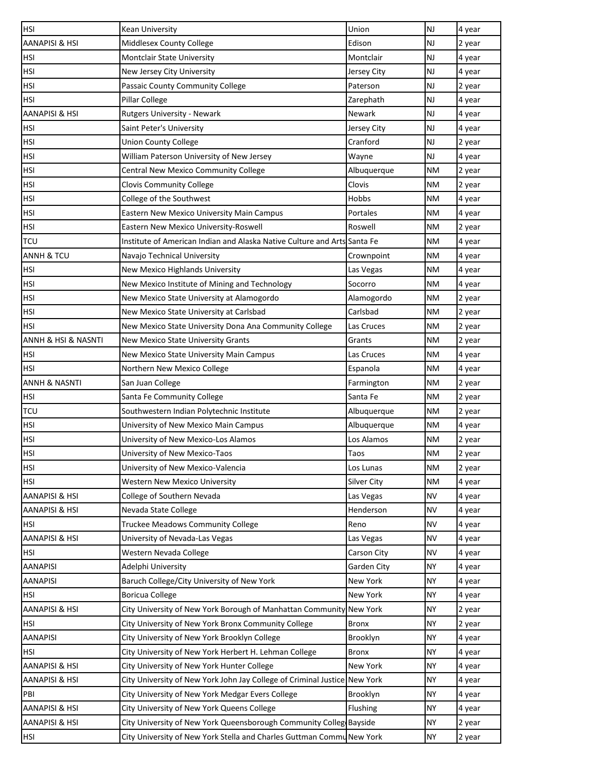| <b>NJ</b><br>AANAPISI & HSI<br>Middlesex County College<br>Edison<br>2 year<br>NJ<br>HSI<br>Montclair State University<br>Montclair<br>4 year<br><b>NJ</b><br><b>HSI</b><br>4 year<br>New Jersey City University<br>Jersey City<br><b>NJ</b><br>HSI<br>Passaic County Community College<br>Paterson<br>2 year<br><b>NJ</b><br>4 year<br>HSI<br>Pillar College<br>Zarephath<br><b>AANAPISI &amp; HSI</b><br><b>NJ</b><br><b>Rutgers University - Newark</b><br>Newark<br>4 year<br>HSI<br>Saint Peter's University<br><b>NJ</b><br>4 year<br>Jersey City<br><b>NJ</b><br><b>HSI</b><br>Cranford<br><b>Union County College</b><br>2 year<br>NJ<br>HSI<br>William Paterson University of New Jersey<br>Wayne<br>4 year<br><b>HSI</b><br>Central New Mexico Community College<br><b>NM</b><br>2 year<br>Albuquerque<br><b>HSI</b><br><b>Clovis Community College</b><br>Clovis<br><b>NM</b><br>2 year<br><b>HSI</b><br>College of the Southwest<br>Hobbs<br>ΝM<br>4 year<br><b>HSI</b><br>Eastern New Mexico University Main Campus<br>Portales<br>ΝM<br>4 year<br>HSI<br>Roswell<br>ΝM<br>2 year<br>Eastern New Mexico University-Roswell<br><b>TCU</b><br>Institute of American Indian and Alaska Native Culture and Arts Santa Fe<br><b>NM</b><br>4 year<br><b>ANNH &amp; TCU</b><br>Navajo Technical University<br>Crownpoint<br>ΝM<br>4 year<br>4 year<br>HSI<br>New Mexico Highlands University<br>Las Vegas<br><b>NM</b><br><b>HSI</b><br>Socorro<br><b>NM</b><br>New Mexico Institute of Mining and Technology<br>4 year<br>HSI<br>New Mexico State University at Alamogordo<br>Alamogordo<br>ΝM<br>2 year<br>HSI<br>Carlsbad<br>New Mexico State University at Carlsbad<br>ΝM<br>2 year<br><b>HSI</b><br>New Mexico State University Dona Ana Community College<br>ΝM<br>Las Cruces<br>2 year<br>ANNH & HSI & NASNTI<br>New Mexico State University Grants<br>NM<br>2 year<br>Grants<br>HSI<br>New Mexico State University Main Campus<br>Las Cruces<br>NM<br>4 year<br>HSI<br>Northern New Mexico College<br>Espanola<br><b>NM</b><br>4 year<br><b>ANNH &amp; NASNTI</b><br>San Juan College<br><b>NM</b><br>2 year<br>Farmington<br><b>HSI</b><br>Santa Fe Community College<br>Santa Fe<br>ΝM<br>2 year<br><b>TCU</b><br>Southwestern Indian Polytechnic Institute<br><b>NM</b><br>Albuquerque<br>2 year<br><b>HSI</b><br>University of New Mexico Main Campus<br>Albuquerque<br>ΝM<br>4 year<br><b>HSI</b><br>University of New Mexico-Los Alamos<br>Los Alamos<br><b>NM</b><br>2 year<br><b>HSI</b><br>University of New Mexico-Taos<br><b>NM</b><br>2 year<br>Taos<br><b>HSI</b><br>University of New Mexico-Valencia<br>Los Lunas<br><b>NM</b><br>2 year<br>HSI<br><b>Western New Mexico University</b><br>Silver City<br>NM<br>4 year<br>AANAPISI & HSI<br>College of Southern Nevada<br><b>NV</b><br>4 year<br>Las Vegas<br><b>AANAPISI &amp; HSI</b><br><b>NV</b><br>Nevada State College<br>Henderson<br>4 year<br>Truckee Meadows Community College<br><b>NV</b><br>HSI<br>Reno<br>4 year<br>AANAPISI & HSI<br><b>NV</b><br>4 year<br>University of Nevada-Las Vegas<br>Las Vegas<br><b>NV</b><br>HSI<br>Western Nevada College<br>Carson City<br>4 year<br><b>AANAPISI</b><br>Adelphi University<br>Garden City<br><b>NY</b><br>4 year<br>Baruch College/City University of New York<br>New York<br><b>NY</b><br><b>AANAPISI</b><br>4 year<br>HSI<br><b>Boricua College</b><br>New York<br><b>NY</b><br>4 year<br>AANAPISI & HSI<br>City University of New York Borough of Manhattan Community New York<br><b>NY</b><br>2 year<br><b>NY</b><br>HSI<br>City University of New York Bronx Community College<br><b>Bronx</b><br>2 year<br><b>NY</b><br>AANAPISI<br>City University of New York Brooklyn College<br>Brooklyn<br>4 year<br>City University of New York Herbert H. Lehman College<br><b>NY</b><br>HSI<br><b>Bronx</b><br>4 year<br>New York<br>AANAPISI & HSI<br>City University of New York Hunter College<br><b>NY</b><br>4 year<br><b>NY</b><br>AANAPISI & HSI<br>City University of New York John Jay College of Criminal Justice New York<br>4 year<br><b>NY</b><br>PBI<br>City University of New York Medgar Evers College<br>Brooklyn<br>4 year<br>AANAPISI & HSI<br><b>NY</b><br>City University of New York Queens College<br>Flushing<br>4 year<br>AANAPISI & HSI<br>City University of New York Queensborough Community Colleg Bayside<br><b>NY</b><br>2 year<br>City University of New York Stella and Charles Guttman Commu New York | <b>HSI</b> | Kean University | Union | <b>NJ</b> | 4 year |
|--------------------------------------------------------------------------------------------------------------------------------------------------------------------------------------------------------------------------------------------------------------------------------------------------------------------------------------------------------------------------------------------------------------------------------------------------------------------------------------------------------------------------------------------------------------------------------------------------------------------------------------------------------------------------------------------------------------------------------------------------------------------------------------------------------------------------------------------------------------------------------------------------------------------------------------------------------------------------------------------------------------------------------------------------------------------------------------------------------------------------------------------------------------------------------------------------------------------------------------------------------------------------------------------------------------------------------------------------------------------------------------------------------------------------------------------------------------------------------------------------------------------------------------------------------------------------------------------------------------------------------------------------------------------------------------------------------------------------------------------------------------------------------------------------------------------------------------------------------------------------------------------------------------------------------------------------------------------------------------------------------------------------------------------------------------------------------------------------------------------------------------------------------------------------------------------------------------------------------------------------------------------------------------------------------------------------------------------------------------------------------------------------------------------------------------------------------------------------------------------------------------------------------------------------------------------------------------------------------------------------------------------------------------------------------------------------------------------------------------------------------------------------------------------------------------------------------------------------------------------------------------------------------------------------------------------------------------------------------------------------------------------------------------------------------------------------------------------------------------------------------------------------------------------------------------------------------------------------------------------------------------------------------------------------------------------------------------------------------------------------------------------------------------------------------------------------------------------------------------------------------------------------------------------------------------------------------------------------------------------------------------------------------------------------------------------------------------------------------------------------------------------------------------------------------------------------------------------------------------------------------------------------------------------------------------------------------------------------------------------------------------------------------------------------------------------------------------------------------------------------------------------------------------------------------------------------------------------------------------------------------------------------------------------------------------------------------------------------------------------------------------------------------------------------------------------------------------------------------|------------|-----------------|-------|-----------|--------|
|                                                                                                                                                                                                                                                                                                                                                                                                                                                                                                                                                                                                                                                                                                                                                                                                                                                                                                                                                                                                                                                                                                                                                                                                                                                                                                                                                                                                                                                                                                                                                                                                                                                                                                                                                                                                                                                                                                                                                                                                                                                                                                                                                                                                                                                                                                                                                                                                                                                                                                                                                                                                                                                                                                                                                                                                                                                                                                                                                                                                                                                                                                                                                                                                                                                                                                                                                                                                                                                                                                                                                                                                                                                                                                                                                                                                                                                                                                                                                                                                                                                                                                                                                                                                                                                                                                                                                                                                                                                                                |            |                 |       |           |        |
|                                                                                                                                                                                                                                                                                                                                                                                                                                                                                                                                                                                                                                                                                                                                                                                                                                                                                                                                                                                                                                                                                                                                                                                                                                                                                                                                                                                                                                                                                                                                                                                                                                                                                                                                                                                                                                                                                                                                                                                                                                                                                                                                                                                                                                                                                                                                                                                                                                                                                                                                                                                                                                                                                                                                                                                                                                                                                                                                                                                                                                                                                                                                                                                                                                                                                                                                                                                                                                                                                                                                                                                                                                                                                                                                                                                                                                                                                                                                                                                                                                                                                                                                                                                                                                                                                                                                                                                                                                                                                |            |                 |       |           |        |
|                                                                                                                                                                                                                                                                                                                                                                                                                                                                                                                                                                                                                                                                                                                                                                                                                                                                                                                                                                                                                                                                                                                                                                                                                                                                                                                                                                                                                                                                                                                                                                                                                                                                                                                                                                                                                                                                                                                                                                                                                                                                                                                                                                                                                                                                                                                                                                                                                                                                                                                                                                                                                                                                                                                                                                                                                                                                                                                                                                                                                                                                                                                                                                                                                                                                                                                                                                                                                                                                                                                                                                                                                                                                                                                                                                                                                                                                                                                                                                                                                                                                                                                                                                                                                                                                                                                                                                                                                                                                                |            |                 |       |           |        |
|                                                                                                                                                                                                                                                                                                                                                                                                                                                                                                                                                                                                                                                                                                                                                                                                                                                                                                                                                                                                                                                                                                                                                                                                                                                                                                                                                                                                                                                                                                                                                                                                                                                                                                                                                                                                                                                                                                                                                                                                                                                                                                                                                                                                                                                                                                                                                                                                                                                                                                                                                                                                                                                                                                                                                                                                                                                                                                                                                                                                                                                                                                                                                                                                                                                                                                                                                                                                                                                                                                                                                                                                                                                                                                                                                                                                                                                                                                                                                                                                                                                                                                                                                                                                                                                                                                                                                                                                                                                                                |            |                 |       |           |        |
|                                                                                                                                                                                                                                                                                                                                                                                                                                                                                                                                                                                                                                                                                                                                                                                                                                                                                                                                                                                                                                                                                                                                                                                                                                                                                                                                                                                                                                                                                                                                                                                                                                                                                                                                                                                                                                                                                                                                                                                                                                                                                                                                                                                                                                                                                                                                                                                                                                                                                                                                                                                                                                                                                                                                                                                                                                                                                                                                                                                                                                                                                                                                                                                                                                                                                                                                                                                                                                                                                                                                                                                                                                                                                                                                                                                                                                                                                                                                                                                                                                                                                                                                                                                                                                                                                                                                                                                                                                                                                |            |                 |       |           |        |
|                                                                                                                                                                                                                                                                                                                                                                                                                                                                                                                                                                                                                                                                                                                                                                                                                                                                                                                                                                                                                                                                                                                                                                                                                                                                                                                                                                                                                                                                                                                                                                                                                                                                                                                                                                                                                                                                                                                                                                                                                                                                                                                                                                                                                                                                                                                                                                                                                                                                                                                                                                                                                                                                                                                                                                                                                                                                                                                                                                                                                                                                                                                                                                                                                                                                                                                                                                                                                                                                                                                                                                                                                                                                                                                                                                                                                                                                                                                                                                                                                                                                                                                                                                                                                                                                                                                                                                                                                                                                                |            |                 |       |           |        |
|                                                                                                                                                                                                                                                                                                                                                                                                                                                                                                                                                                                                                                                                                                                                                                                                                                                                                                                                                                                                                                                                                                                                                                                                                                                                                                                                                                                                                                                                                                                                                                                                                                                                                                                                                                                                                                                                                                                                                                                                                                                                                                                                                                                                                                                                                                                                                                                                                                                                                                                                                                                                                                                                                                                                                                                                                                                                                                                                                                                                                                                                                                                                                                                                                                                                                                                                                                                                                                                                                                                                                                                                                                                                                                                                                                                                                                                                                                                                                                                                                                                                                                                                                                                                                                                                                                                                                                                                                                                                                |            |                 |       |           |        |
|                                                                                                                                                                                                                                                                                                                                                                                                                                                                                                                                                                                                                                                                                                                                                                                                                                                                                                                                                                                                                                                                                                                                                                                                                                                                                                                                                                                                                                                                                                                                                                                                                                                                                                                                                                                                                                                                                                                                                                                                                                                                                                                                                                                                                                                                                                                                                                                                                                                                                                                                                                                                                                                                                                                                                                                                                                                                                                                                                                                                                                                                                                                                                                                                                                                                                                                                                                                                                                                                                                                                                                                                                                                                                                                                                                                                                                                                                                                                                                                                                                                                                                                                                                                                                                                                                                                                                                                                                                                                                |            |                 |       |           |        |
|                                                                                                                                                                                                                                                                                                                                                                                                                                                                                                                                                                                                                                                                                                                                                                                                                                                                                                                                                                                                                                                                                                                                                                                                                                                                                                                                                                                                                                                                                                                                                                                                                                                                                                                                                                                                                                                                                                                                                                                                                                                                                                                                                                                                                                                                                                                                                                                                                                                                                                                                                                                                                                                                                                                                                                                                                                                                                                                                                                                                                                                                                                                                                                                                                                                                                                                                                                                                                                                                                                                                                                                                                                                                                                                                                                                                                                                                                                                                                                                                                                                                                                                                                                                                                                                                                                                                                                                                                                                                                |            |                 |       |           |        |
|                                                                                                                                                                                                                                                                                                                                                                                                                                                                                                                                                                                                                                                                                                                                                                                                                                                                                                                                                                                                                                                                                                                                                                                                                                                                                                                                                                                                                                                                                                                                                                                                                                                                                                                                                                                                                                                                                                                                                                                                                                                                                                                                                                                                                                                                                                                                                                                                                                                                                                                                                                                                                                                                                                                                                                                                                                                                                                                                                                                                                                                                                                                                                                                                                                                                                                                                                                                                                                                                                                                                                                                                                                                                                                                                                                                                                                                                                                                                                                                                                                                                                                                                                                                                                                                                                                                                                                                                                                                                                |            |                 |       |           |        |
|                                                                                                                                                                                                                                                                                                                                                                                                                                                                                                                                                                                                                                                                                                                                                                                                                                                                                                                                                                                                                                                                                                                                                                                                                                                                                                                                                                                                                                                                                                                                                                                                                                                                                                                                                                                                                                                                                                                                                                                                                                                                                                                                                                                                                                                                                                                                                                                                                                                                                                                                                                                                                                                                                                                                                                                                                                                                                                                                                                                                                                                                                                                                                                                                                                                                                                                                                                                                                                                                                                                                                                                                                                                                                                                                                                                                                                                                                                                                                                                                                                                                                                                                                                                                                                                                                                                                                                                                                                                                                |            |                 |       |           |        |
|                                                                                                                                                                                                                                                                                                                                                                                                                                                                                                                                                                                                                                                                                                                                                                                                                                                                                                                                                                                                                                                                                                                                                                                                                                                                                                                                                                                                                                                                                                                                                                                                                                                                                                                                                                                                                                                                                                                                                                                                                                                                                                                                                                                                                                                                                                                                                                                                                                                                                                                                                                                                                                                                                                                                                                                                                                                                                                                                                                                                                                                                                                                                                                                                                                                                                                                                                                                                                                                                                                                                                                                                                                                                                                                                                                                                                                                                                                                                                                                                                                                                                                                                                                                                                                                                                                                                                                                                                                                                                |            |                 |       |           |        |
|                                                                                                                                                                                                                                                                                                                                                                                                                                                                                                                                                                                                                                                                                                                                                                                                                                                                                                                                                                                                                                                                                                                                                                                                                                                                                                                                                                                                                                                                                                                                                                                                                                                                                                                                                                                                                                                                                                                                                                                                                                                                                                                                                                                                                                                                                                                                                                                                                                                                                                                                                                                                                                                                                                                                                                                                                                                                                                                                                                                                                                                                                                                                                                                                                                                                                                                                                                                                                                                                                                                                                                                                                                                                                                                                                                                                                                                                                                                                                                                                                                                                                                                                                                                                                                                                                                                                                                                                                                                                                |            |                 |       |           |        |
|                                                                                                                                                                                                                                                                                                                                                                                                                                                                                                                                                                                                                                                                                                                                                                                                                                                                                                                                                                                                                                                                                                                                                                                                                                                                                                                                                                                                                                                                                                                                                                                                                                                                                                                                                                                                                                                                                                                                                                                                                                                                                                                                                                                                                                                                                                                                                                                                                                                                                                                                                                                                                                                                                                                                                                                                                                                                                                                                                                                                                                                                                                                                                                                                                                                                                                                                                                                                                                                                                                                                                                                                                                                                                                                                                                                                                                                                                                                                                                                                                                                                                                                                                                                                                                                                                                                                                                                                                                                                                |            |                 |       |           |        |
|                                                                                                                                                                                                                                                                                                                                                                                                                                                                                                                                                                                                                                                                                                                                                                                                                                                                                                                                                                                                                                                                                                                                                                                                                                                                                                                                                                                                                                                                                                                                                                                                                                                                                                                                                                                                                                                                                                                                                                                                                                                                                                                                                                                                                                                                                                                                                                                                                                                                                                                                                                                                                                                                                                                                                                                                                                                                                                                                                                                                                                                                                                                                                                                                                                                                                                                                                                                                                                                                                                                                                                                                                                                                                                                                                                                                                                                                                                                                                                                                                                                                                                                                                                                                                                                                                                                                                                                                                                                                                |            |                 |       |           |        |
|                                                                                                                                                                                                                                                                                                                                                                                                                                                                                                                                                                                                                                                                                                                                                                                                                                                                                                                                                                                                                                                                                                                                                                                                                                                                                                                                                                                                                                                                                                                                                                                                                                                                                                                                                                                                                                                                                                                                                                                                                                                                                                                                                                                                                                                                                                                                                                                                                                                                                                                                                                                                                                                                                                                                                                                                                                                                                                                                                                                                                                                                                                                                                                                                                                                                                                                                                                                                                                                                                                                                                                                                                                                                                                                                                                                                                                                                                                                                                                                                                                                                                                                                                                                                                                                                                                                                                                                                                                                                                |            |                 |       |           |        |
|                                                                                                                                                                                                                                                                                                                                                                                                                                                                                                                                                                                                                                                                                                                                                                                                                                                                                                                                                                                                                                                                                                                                                                                                                                                                                                                                                                                                                                                                                                                                                                                                                                                                                                                                                                                                                                                                                                                                                                                                                                                                                                                                                                                                                                                                                                                                                                                                                                                                                                                                                                                                                                                                                                                                                                                                                                                                                                                                                                                                                                                                                                                                                                                                                                                                                                                                                                                                                                                                                                                                                                                                                                                                                                                                                                                                                                                                                                                                                                                                                                                                                                                                                                                                                                                                                                                                                                                                                                                                                |            |                 |       |           |        |
|                                                                                                                                                                                                                                                                                                                                                                                                                                                                                                                                                                                                                                                                                                                                                                                                                                                                                                                                                                                                                                                                                                                                                                                                                                                                                                                                                                                                                                                                                                                                                                                                                                                                                                                                                                                                                                                                                                                                                                                                                                                                                                                                                                                                                                                                                                                                                                                                                                                                                                                                                                                                                                                                                                                                                                                                                                                                                                                                                                                                                                                                                                                                                                                                                                                                                                                                                                                                                                                                                                                                                                                                                                                                                                                                                                                                                                                                                                                                                                                                                                                                                                                                                                                                                                                                                                                                                                                                                                                                                |            |                 |       |           |        |
|                                                                                                                                                                                                                                                                                                                                                                                                                                                                                                                                                                                                                                                                                                                                                                                                                                                                                                                                                                                                                                                                                                                                                                                                                                                                                                                                                                                                                                                                                                                                                                                                                                                                                                                                                                                                                                                                                                                                                                                                                                                                                                                                                                                                                                                                                                                                                                                                                                                                                                                                                                                                                                                                                                                                                                                                                                                                                                                                                                                                                                                                                                                                                                                                                                                                                                                                                                                                                                                                                                                                                                                                                                                                                                                                                                                                                                                                                                                                                                                                                                                                                                                                                                                                                                                                                                                                                                                                                                                                                |            |                 |       |           |        |
|                                                                                                                                                                                                                                                                                                                                                                                                                                                                                                                                                                                                                                                                                                                                                                                                                                                                                                                                                                                                                                                                                                                                                                                                                                                                                                                                                                                                                                                                                                                                                                                                                                                                                                                                                                                                                                                                                                                                                                                                                                                                                                                                                                                                                                                                                                                                                                                                                                                                                                                                                                                                                                                                                                                                                                                                                                                                                                                                                                                                                                                                                                                                                                                                                                                                                                                                                                                                                                                                                                                                                                                                                                                                                                                                                                                                                                                                                                                                                                                                                                                                                                                                                                                                                                                                                                                                                                                                                                                                                |            |                 |       |           |        |
|                                                                                                                                                                                                                                                                                                                                                                                                                                                                                                                                                                                                                                                                                                                                                                                                                                                                                                                                                                                                                                                                                                                                                                                                                                                                                                                                                                                                                                                                                                                                                                                                                                                                                                                                                                                                                                                                                                                                                                                                                                                                                                                                                                                                                                                                                                                                                                                                                                                                                                                                                                                                                                                                                                                                                                                                                                                                                                                                                                                                                                                                                                                                                                                                                                                                                                                                                                                                                                                                                                                                                                                                                                                                                                                                                                                                                                                                                                                                                                                                                                                                                                                                                                                                                                                                                                                                                                                                                                                                                |            |                 |       |           |        |
|                                                                                                                                                                                                                                                                                                                                                                                                                                                                                                                                                                                                                                                                                                                                                                                                                                                                                                                                                                                                                                                                                                                                                                                                                                                                                                                                                                                                                                                                                                                                                                                                                                                                                                                                                                                                                                                                                                                                                                                                                                                                                                                                                                                                                                                                                                                                                                                                                                                                                                                                                                                                                                                                                                                                                                                                                                                                                                                                                                                                                                                                                                                                                                                                                                                                                                                                                                                                                                                                                                                                                                                                                                                                                                                                                                                                                                                                                                                                                                                                                                                                                                                                                                                                                                                                                                                                                                                                                                                                                |            |                 |       |           |        |
|                                                                                                                                                                                                                                                                                                                                                                                                                                                                                                                                                                                                                                                                                                                                                                                                                                                                                                                                                                                                                                                                                                                                                                                                                                                                                                                                                                                                                                                                                                                                                                                                                                                                                                                                                                                                                                                                                                                                                                                                                                                                                                                                                                                                                                                                                                                                                                                                                                                                                                                                                                                                                                                                                                                                                                                                                                                                                                                                                                                                                                                                                                                                                                                                                                                                                                                                                                                                                                                                                                                                                                                                                                                                                                                                                                                                                                                                                                                                                                                                                                                                                                                                                                                                                                                                                                                                                                                                                                                                                |            |                 |       |           |        |
|                                                                                                                                                                                                                                                                                                                                                                                                                                                                                                                                                                                                                                                                                                                                                                                                                                                                                                                                                                                                                                                                                                                                                                                                                                                                                                                                                                                                                                                                                                                                                                                                                                                                                                                                                                                                                                                                                                                                                                                                                                                                                                                                                                                                                                                                                                                                                                                                                                                                                                                                                                                                                                                                                                                                                                                                                                                                                                                                                                                                                                                                                                                                                                                                                                                                                                                                                                                                                                                                                                                                                                                                                                                                                                                                                                                                                                                                                                                                                                                                                                                                                                                                                                                                                                                                                                                                                                                                                                                                                |            |                 |       |           |        |
|                                                                                                                                                                                                                                                                                                                                                                                                                                                                                                                                                                                                                                                                                                                                                                                                                                                                                                                                                                                                                                                                                                                                                                                                                                                                                                                                                                                                                                                                                                                                                                                                                                                                                                                                                                                                                                                                                                                                                                                                                                                                                                                                                                                                                                                                                                                                                                                                                                                                                                                                                                                                                                                                                                                                                                                                                                                                                                                                                                                                                                                                                                                                                                                                                                                                                                                                                                                                                                                                                                                                                                                                                                                                                                                                                                                                                                                                                                                                                                                                                                                                                                                                                                                                                                                                                                                                                                                                                                                                                |            |                 |       |           |        |
|                                                                                                                                                                                                                                                                                                                                                                                                                                                                                                                                                                                                                                                                                                                                                                                                                                                                                                                                                                                                                                                                                                                                                                                                                                                                                                                                                                                                                                                                                                                                                                                                                                                                                                                                                                                                                                                                                                                                                                                                                                                                                                                                                                                                                                                                                                                                                                                                                                                                                                                                                                                                                                                                                                                                                                                                                                                                                                                                                                                                                                                                                                                                                                                                                                                                                                                                                                                                                                                                                                                                                                                                                                                                                                                                                                                                                                                                                                                                                                                                                                                                                                                                                                                                                                                                                                                                                                                                                                                                                |            |                 |       |           |        |
|                                                                                                                                                                                                                                                                                                                                                                                                                                                                                                                                                                                                                                                                                                                                                                                                                                                                                                                                                                                                                                                                                                                                                                                                                                                                                                                                                                                                                                                                                                                                                                                                                                                                                                                                                                                                                                                                                                                                                                                                                                                                                                                                                                                                                                                                                                                                                                                                                                                                                                                                                                                                                                                                                                                                                                                                                                                                                                                                                                                                                                                                                                                                                                                                                                                                                                                                                                                                                                                                                                                                                                                                                                                                                                                                                                                                                                                                                                                                                                                                                                                                                                                                                                                                                                                                                                                                                                                                                                                                                |            |                 |       |           |        |
|                                                                                                                                                                                                                                                                                                                                                                                                                                                                                                                                                                                                                                                                                                                                                                                                                                                                                                                                                                                                                                                                                                                                                                                                                                                                                                                                                                                                                                                                                                                                                                                                                                                                                                                                                                                                                                                                                                                                                                                                                                                                                                                                                                                                                                                                                                                                                                                                                                                                                                                                                                                                                                                                                                                                                                                                                                                                                                                                                                                                                                                                                                                                                                                                                                                                                                                                                                                                                                                                                                                                                                                                                                                                                                                                                                                                                                                                                                                                                                                                                                                                                                                                                                                                                                                                                                                                                                                                                                                                                |            |                 |       |           |        |
|                                                                                                                                                                                                                                                                                                                                                                                                                                                                                                                                                                                                                                                                                                                                                                                                                                                                                                                                                                                                                                                                                                                                                                                                                                                                                                                                                                                                                                                                                                                                                                                                                                                                                                                                                                                                                                                                                                                                                                                                                                                                                                                                                                                                                                                                                                                                                                                                                                                                                                                                                                                                                                                                                                                                                                                                                                                                                                                                                                                                                                                                                                                                                                                                                                                                                                                                                                                                                                                                                                                                                                                                                                                                                                                                                                                                                                                                                                                                                                                                                                                                                                                                                                                                                                                                                                                                                                                                                                                                                |            |                 |       |           |        |
|                                                                                                                                                                                                                                                                                                                                                                                                                                                                                                                                                                                                                                                                                                                                                                                                                                                                                                                                                                                                                                                                                                                                                                                                                                                                                                                                                                                                                                                                                                                                                                                                                                                                                                                                                                                                                                                                                                                                                                                                                                                                                                                                                                                                                                                                                                                                                                                                                                                                                                                                                                                                                                                                                                                                                                                                                                                                                                                                                                                                                                                                                                                                                                                                                                                                                                                                                                                                                                                                                                                                                                                                                                                                                                                                                                                                                                                                                                                                                                                                                                                                                                                                                                                                                                                                                                                                                                                                                                                                                |            |                 |       |           |        |
|                                                                                                                                                                                                                                                                                                                                                                                                                                                                                                                                                                                                                                                                                                                                                                                                                                                                                                                                                                                                                                                                                                                                                                                                                                                                                                                                                                                                                                                                                                                                                                                                                                                                                                                                                                                                                                                                                                                                                                                                                                                                                                                                                                                                                                                                                                                                                                                                                                                                                                                                                                                                                                                                                                                                                                                                                                                                                                                                                                                                                                                                                                                                                                                                                                                                                                                                                                                                                                                                                                                                                                                                                                                                                                                                                                                                                                                                                                                                                                                                                                                                                                                                                                                                                                                                                                                                                                                                                                                                                |            |                 |       |           |        |
|                                                                                                                                                                                                                                                                                                                                                                                                                                                                                                                                                                                                                                                                                                                                                                                                                                                                                                                                                                                                                                                                                                                                                                                                                                                                                                                                                                                                                                                                                                                                                                                                                                                                                                                                                                                                                                                                                                                                                                                                                                                                                                                                                                                                                                                                                                                                                                                                                                                                                                                                                                                                                                                                                                                                                                                                                                                                                                                                                                                                                                                                                                                                                                                                                                                                                                                                                                                                                                                                                                                                                                                                                                                                                                                                                                                                                                                                                                                                                                                                                                                                                                                                                                                                                                                                                                                                                                                                                                                                                |            |                 |       |           |        |
|                                                                                                                                                                                                                                                                                                                                                                                                                                                                                                                                                                                                                                                                                                                                                                                                                                                                                                                                                                                                                                                                                                                                                                                                                                                                                                                                                                                                                                                                                                                                                                                                                                                                                                                                                                                                                                                                                                                                                                                                                                                                                                                                                                                                                                                                                                                                                                                                                                                                                                                                                                                                                                                                                                                                                                                                                                                                                                                                                                                                                                                                                                                                                                                                                                                                                                                                                                                                                                                                                                                                                                                                                                                                                                                                                                                                                                                                                                                                                                                                                                                                                                                                                                                                                                                                                                                                                                                                                                                                                |            |                 |       |           |        |
|                                                                                                                                                                                                                                                                                                                                                                                                                                                                                                                                                                                                                                                                                                                                                                                                                                                                                                                                                                                                                                                                                                                                                                                                                                                                                                                                                                                                                                                                                                                                                                                                                                                                                                                                                                                                                                                                                                                                                                                                                                                                                                                                                                                                                                                                                                                                                                                                                                                                                                                                                                                                                                                                                                                                                                                                                                                                                                                                                                                                                                                                                                                                                                                                                                                                                                                                                                                                                                                                                                                                                                                                                                                                                                                                                                                                                                                                                                                                                                                                                                                                                                                                                                                                                                                                                                                                                                                                                                                                                |            |                 |       |           |        |
|                                                                                                                                                                                                                                                                                                                                                                                                                                                                                                                                                                                                                                                                                                                                                                                                                                                                                                                                                                                                                                                                                                                                                                                                                                                                                                                                                                                                                                                                                                                                                                                                                                                                                                                                                                                                                                                                                                                                                                                                                                                                                                                                                                                                                                                                                                                                                                                                                                                                                                                                                                                                                                                                                                                                                                                                                                                                                                                                                                                                                                                                                                                                                                                                                                                                                                                                                                                                                                                                                                                                                                                                                                                                                                                                                                                                                                                                                                                                                                                                                                                                                                                                                                                                                                                                                                                                                                                                                                                                                |            |                 |       |           |        |
|                                                                                                                                                                                                                                                                                                                                                                                                                                                                                                                                                                                                                                                                                                                                                                                                                                                                                                                                                                                                                                                                                                                                                                                                                                                                                                                                                                                                                                                                                                                                                                                                                                                                                                                                                                                                                                                                                                                                                                                                                                                                                                                                                                                                                                                                                                                                                                                                                                                                                                                                                                                                                                                                                                                                                                                                                                                                                                                                                                                                                                                                                                                                                                                                                                                                                                                                                                                                                                                                                                                                                                                                                                                                                                                                                                                                                                                                                                                                                                                                                                                                                                                                                                                                                                                                                                                                                                                                                                                                                |            |                 |       |           |        |
|                                                                                                                                                                                                                                                                                                                                                                                                                                                                                                                                                                                                                                                                                                                                                                                                                                                                                                                                                                                                                                                                                                                                                                                                                                                                                                                                                                                                                                                                                                                                                                                                                                                                                                                                                                                                                                                                                                                                                                                                                                                                                                                                                                                                                                                                                                                                                                                                                                                                                                                                                                                                                                                                                                                                                                                                                                                                                                                                                                                                                                                                                                                                                                                                                                                                                                                                                                                                                                                                                                                                                                                                                                                                                                                                                                                                                                                                                                                                                                                                                                                                                                                                                                                                                                                                                                                                                                                                                                                                                |            |                 |       |           |        |
|                                                                                                                                                                                                                                                                                                                                                                                                                                                                                                                                                                                                                                                                                                                                                                                                                                                                                                                                                                                                                                                                                                                                                                                                                                                                                                                                                                                                                                                                                                                                                                                                                                                                                                                                                                                                                                                                                                                                                                                                                                                                                                                                                                                                                                                                                                                                                                                                                                                                                                                                                                                                                                                                                                                                                                                                                                                                                                                                                                                                                                                                                                                                                                                                                                                                                                                                                                                                                                                                                                                                                                                                                                                                                                                                                                                                                                                                                                                                                                                                                                                                                                                                                                                                                                                                                                                                                                                                                                                                                |            |                 |       |           |        |
|                                                                                                                                                                                                                                                                                                                                                                                                                                                                                                                                                                                                                                                                                                                                                                                                                                                                                                                                                                                                                                                                                                                                                                                                                                                                                                                                                                                                                                                                                                                                                                                                                                                                                                                                                                                                                                                                                                                                                                                                                                                                                                                                                                                                                                                                                                                                                                                                                                                                                                                                                                                                                                                                                                                                                                                                                                                                                                                                                                                                                                                                                                                                                                                                                                                                                                                                                                                                                                                                                                                                                                                                                                                                                                                                                                                                                                                                                                                                                                                                                                                                                                                                                                                                                                                                                                                                                                                                                                                                                |            |                 |       |           |        |
|                                                                                                                                                                                                                                                                                                                                                                                                                                                                                                                                                                                                                                                                                                                                                                                                                                                                                                                                                                                                                                                                                                                                                                                                                                                                                                                                                                                                                                                                                                                                                                                                                                                                                                                                                                                                                                                                                                                                                                                                                                                                                                                                                                                                                                                                                                                                                                                                                                                                                                                                                                                                                                                                                                                                                                                                                                                                                                                                                                                                                                                                                                                                                                                                                                                                                                                                                                                                                                                                                                                                                                                                                                                                                                                                                                                                                                                                                                                                                                                                                                                                                                                                                                                                                                                                                                                                                                                                                                                                                |            |                 |       |           |        |
|                                                                                                                                                                                                                                                                                                                                                                                                                                                                                                                                                                                                                                                                                                                                                                                                                                                                                                                                                                                                                                                                                                                                                                                                                                                                                                                                                                                                                                                                                                                                                                                                                                                                                                                                                                                                                                                                                                                                                                                                                                                                                                                                                                                                                                                                                                                                                                                                                                                                                                                                                                                                                                                                                                                                                                                                                                                                                                                                                                                                                                                                                                                                                                                                                                                                                                                                                                                                                                                                                                                                                                                                                                                                                                                                                                                                                                                                                                                                                                                                                                                                                                                                                                                                                                                                                                                                                                                                                                                                                |            |                 |       |           |        |
|                                                                                                                                                                                                                                                                                                                                                                                                                                                                                                                                                                                                                                                                                                                                                                                                                                                                                                                                                                                                                                                                                                                                                                                                                                                                                                                                                                                                                                                                                                                                                                                                                                                                                                                                                                                                                                                                                                                                                                                                                                                                                                                                                                                                                                                                                                                                                                                                                                                                                                                                                                                                                                                                                                                                                                                                                                                                                                                                                                                                                                                                                                                                                                                                                                                                                                                                                                                                                                                                                                                                                                                                                                                                                                                                                                                                                                                                                                                                                                                                                                                                                                                                                                                                                                                                                                                                                                                                                                                                                |            |                 |       |           |        |
|                                                                                                                                                                                                                                                                                                                                                                                                                                                                                                                                                                                                                                                                                                                                                                                                                                                                                                                                                                                                                                                                                                                                                                                                                                                                                                                                                                                                                                                                                                                                                                                                                                                                                                                                                                                                                                                                                                                                                                                                                                                                                                                                                                                                                                                                                                                                                                                                                                                                                                                                                                                                                                                                                                                                                                                                                                                                                                                                                                                                                                                                                                                                                                                                                                                                                                                                                                                                                                                                                                                                                                                                                                                                                                                                                                                                                                                                                                                                                                                                                                                                                                                                                                                                                                                                                                                                                                                                                                                                                |            |                 |       |           |        |
|                                                                                                                                                                                                                                                                                                                                                                                                                                                                                                                                                                                                                                                                                                                                                                                                                                                                                                                                                                                                                                                                                                                                                                                                                                                                                                                                                                                                                                                                                                                                                                                                                                                                                                                                                                                                                                                                                                                                                                                                                                                                                                                                                                                                                                                                                                                                                                                                                                                                                                                                                                                                                                                                                                                                                                                                                                                                                                                                                                                                                                                                                                                                                                                                                                                                                                                                                                                                                                                                                                                                                                                                                                                                                                                                                                                                                                                                                                                                                                                                                                                                                                                                                                                                                                                                                                                                                                                                                                                                                |            |                 |       |           |        |
|                                                                                                                                                                                                                                                                                                                                                                                                                                                                                                                                                                                                                                                                                                                                                                                                                                                                                                                                                                                                                                                                                                                                                                                                                                                                                                                                                                                                                                                                                                                                                                                                                                                                                                                                                                                                                                                                                                                                                                                                                                                                                                                                                                                                                                                                                                                                                                                                                                                                                                                                                                                                                                                                                                                                                                                                                                                                                                                                                                                                                                                                                                                                                                                                                                                                                                                                                                                                                                                                                                                                                                                                                                                                                                                                                                                                                                                                                                                                                                                                                                                                                                                                                                                                                                                                                                                                                                                                                                                                                |            |                 |       |           |        |
|                                                                                                                                                                                                                                                                                                                                                                                                                                                                                                                                                                                                                                                                                                                                                                                                                                                                                                                                                                                                                                                                                                                                                                                                                                                                                                                                                                                                                                                                                                                                                                                                                                                                                                                                                                                                                                                                                                                                                                                                                                                                                                                                                                                                                                                                                                                                                                                                                                                                                                                                                                                                                                                                                                                                                                                                                                                                                                                                                                                                                                                                                                                                                                                                                                                                                                                                                                                                                                                                                                                                                                                                                                                                                                                                                                                                                                                                                                                                                                                                                                                                                                                                                                                                                                                                                                                                                                                                                                                                                |            |                 |       |           |        |
|                                                                                                                                                                                                                                                                                                                                                                                                                                                                                                                                                                                                                                                                                                                                                                                                                                                                                                                                                                                                                                                                                                                                                                                                                                                                                                                                                                                                                                                                                                                                                                                                                                                                                                                                                                                                                                                                                                                                                                                                                                                                                                                                                                                                                                                                                                                                                                                                                                                                                                                                                                                                                                                                                                                                                                                                                                                                                                                                                                                                                                                                                                                                                                                                                                                                                                                                                                                                                                                                                                                                                                                                                                                                                                                                                                                                                                                                                                                                                                                                                                                                                                                                                                                                                                                                                                                                                                                                                                                                                |            |                 |       |           |        |
|                                                                                                                                                                                                                                                                                                                                                                                                                                                                                                                                                                                                                                                                                                                                                                                                                                                                                                                                                                                                                                                                                                                                                                                                                                                                                                                                                                                                                                                                                                                                                                                                                                                                                                                                                                                                                                                                                                                                                                                                                                                                                                                                                                                                                                                                                                                                                                                                                                                                                                                                                                                                                                                                                                                                                                                                                                                                                                                                                                                                                                                                                                                                                                                                                                                                                                                                                                                                                                                                                                                                                                                                                                                                                                                                                                                                                                                                                                                                                                                                                                                                                                                                                                                                                                                                                                                                                                                                                                                                                |            |                 |       |           |        |
|                                                                                                                                                                                                                                                                                                                                                                                                                                                                                                                                                                                                                                                                                                                                                                                                                                                                                                                                                                                                                                                                                                                                                                                                                                                                                                                                                                                                                                                                                                                                                                                                                                                                                                                                                                                                                                                                                                                                                                                                                                                                                                                                                                                                                                                                                                                                                                                                                                                                                                                                                                                                                                                                                                                                                                                                                                                                                                                                                                                                                                                                                                                                                                                                                                                                                                                                                                                                                                                                                                                                                                                                                                                                                                                                                                                                                                                                                                                                                                                                                                                                                                                                                                                                                                                                                                                                                                                                                                                                                |            |                 |       |           |        |
|                                                                                                                                                                                                                                                                                                                                                                                                                                                                                                                                                                                                                                                                                                                                                                                                                                                                                                                                                                                                                                                                                                                                                                                                                                                                                                                                                                                                                                                                                                                                                                                                                                                                                                                                                                                                                                                                                                                                                                                                                                                                                                                                                                                                                                                                                                                                                                                                                                                                                                                                                                                                                                                                                                                                                                                                                                                                                                                                                                                                                                                                                                                                                                                                                                                                                                                                                                                                                                                                                                                                                                                                                                                                                                                                                                                                                                                                                                                                                                                                                                                                                                                                                                                                                                                                                                                                                                                                                                                                                | <b>HSI</b> |                 |       | <b>NY</b> | 2 year |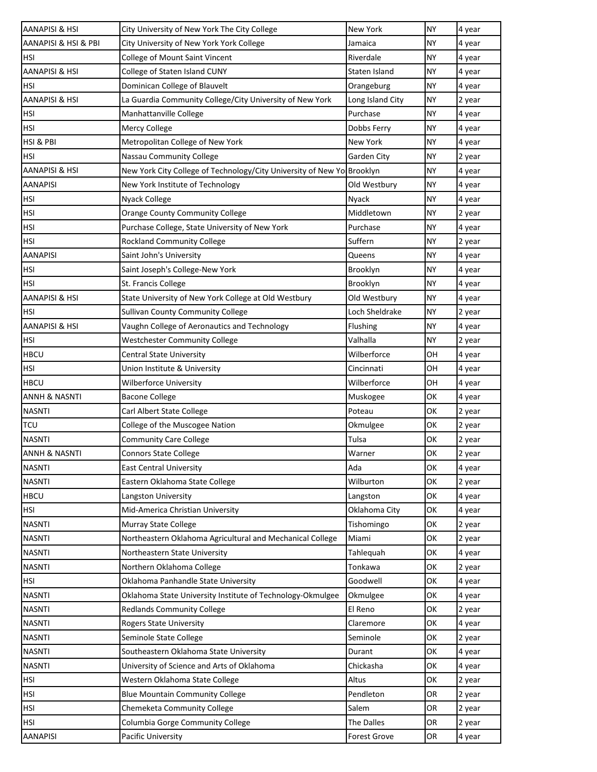| AANAPISI & HSI            | City University of New York The City College                           | <b>New York</b>  | <b>NY</b> | 4 year |
|---------------------------|------------------------------------------------------------------------|------------------|-----------|--------|
| AANAPISI & HSI & PBI      | City University of New York York College                               | Jamaica          | <b>NY</b> | 4 year |
| HSI                       | College of Mount Saint Vincent                                         | Riverdale        | <b>NY</b> | 4 year |
| AANAPISI & HSI            | College of Staten Island CUNY                                          | Staten Island    | <b>NY</b> | 4 year |
| HSI                       | Dominican College of Blauvelt                                          | Orangeburg       | <b>NY</b> | 4 year |
| <b>AANAPISI &amp; HSI</b> | La Guardia Community College/City University of New York               | Long Island City | <b>NY</b> | 2 year |
| HSI                       | Manhattanville College                                                 | Purchase         | <b>NY</b> | 4 year |
| HSI                       | Mercy College                                                          | Dobbs Ferry      | <b>NY</b> | 4 year |
| HSI & PBI                 | Metropolitan College of New York                                       | <b>New York</b>  | <b>NY</b> | 4 year |
| HSI                       | Nassau Community College                                               | Garden City      | <b>NY</b> | 2 year |
| AANAPISI & HSI            | New York City College of Technology/City University of New Yo Brooklyn |                  | <b>NY</b> | 4 year |
| <b>AANAPISI</b>           | New York Institute of Technology                                       | Old Westbury     | <b>NY</b> | 4 year |
| HSI                       | <b>Nyack College</b>                                                   | Nyack            | <b>NY</b> | 4 year |
| <b>HSI</b>                | <b>Orange County Community College</b>                                 | Middletown       | <b>NY</b> | 2 year |
| HSI                       | Purchase College, State University of New York                         | Purchase         | <b>NY</b> | 4 year |
| <b>HSI</b>                | <b>Rockland Community College</b>                                      | Suffern          | <b>NY</b> | 2 year |
| AANAPISI                  | Saint John's University                                                | Queens           | <b>NY</b> | 4 year |
| HSI                       | Saint Joseph's College-New York                                        | Brooklyn         | <b>NY</b> | 4 year |
| HSI                       | St. Francis College                                                    | Brooklyn         | <b>NY</b> | 4 year |
| AANAPISI & HSI            | State University of New York College at Old Westbury                   | Old Westbury     | <b>NY</b> | 4 year |
| HSI                       | <b>Sullivan County Community College</b>                               | Loch Sheldrake   | <b>NY</b> | 2 year |
| AANAPISI & HSI            | Vaughn College of Aeronautics and Technology                           | Flushing         | <b>NY</b> | 4 year |
| HSI                       | <b>Westchester Community College</b>                                   | Valhalla         | <b>NY</b> | 2 year |
| <b>HBCU</b>               | <b>Central State University</b>                                        | Wilberforce      | OH        | 4 year |
| <b>HSI</b>                | Union Institute & University                                           | Cincinnati       | OH        | 4 year |
| <b>HBCU</b>               | <b>Wilberforce University</b>                                          | Wilberforce      | OH        | 4 year |
| ANNH & NASNTI             | <b>Bacone College</b>                                                  | Muskogee         | OK        | 4 year |
| <b>NASNTI</b>             | Carl Albert State College                                              | Poteau           | OK        | 2 year |
| <b>TCU</b>                | College of the Muscogee Nation                                         | Okmulgee         | OK        | 2 year |
| <b>NASNTI</b>             | <b>Community Care College</b>                                          | Tulsa            | OK        | 2 year |
| <b>ANNH &amp; NASNTI</b>  | <b>Connors State College</b>                                           | Warner           | OK        | 2 year |
| <b>NASNTI</b>             | <b>East Central University</b>                                         | Ada              | OK        | 4 year |
| <b>NASNTI</b>             | Eastern Oklahoma State College                                         | Wilburton        | OK        | 2 year |
| <b>HBCU</b>               | Langston University                                                    | Langston         | OK        | 4 year |
| <b>HSI</b>                | Mid-America Christian University                                       | Oklahoma City    | OK        | 4 year |
| <b>NASNTI</b>             | Murray State College                                                   | Tishomingo       | OK        | 2 year |
| <b>NASNTI</b>             | Northeastern Oklahoma Agricultural and Mechanical College              | Miami            | OK        | 2 year |
| <b>NASNTI</b>             | Northeastern State University                                          | Tahlequah        | OK        | 4 year |
| <b>NASNTI</b>             | Northern Oklahoma College                                              | Tonkawa          | OK        | 2 year |
| <b>HSI</b>                | Oklahoma Panhandle State University                                    | Goodwell         | OK        | 4 year |
| <b>NASNTI</b>             | Oklahoma State University Institute of Technology-Okmulgee             | Okmulgee         | OK        | 4 year |
| <b>NASNTI</b>             | <b>Redlands Community College</b>                                      | El Reno          | OK        | 2 year |
| <b>NASNTI</b>             | Rogers State University                                                | Claremore        | OK        | 4 year |
| <b>NASNTI</b>             | Seminole State College                                                 | Seminole         | OK        | 2 year |
| <b>NASNTI</b>             | Southeastern Oklahoma State University                                 | Durant           | OK        | 4 year |
| <b>NASNTI</b>             | University of Science and Arts of Oklahoma                             | Chickasha        | OK        | 4 year |
| <b>HSI</b>                | Western Oklahoma State College                                         | Altus            | OK        | 2 year |
| <b>HSI</b>                | <b>Blue Mountain Community College</b>                                 | Pendleton        | OR        | 2 year |
| <b>HSI</b>                | Chemeketa Community College                                            | Salem            | OR        | 2 year |
| <b>HSI</b>                | Columbia Gorge Community College                                       | The Dalles       | OR        | 2 year |
| <b>AANAPISI</b>           | Pacific University                                                     | Forest Grove     | OR        | 4 year |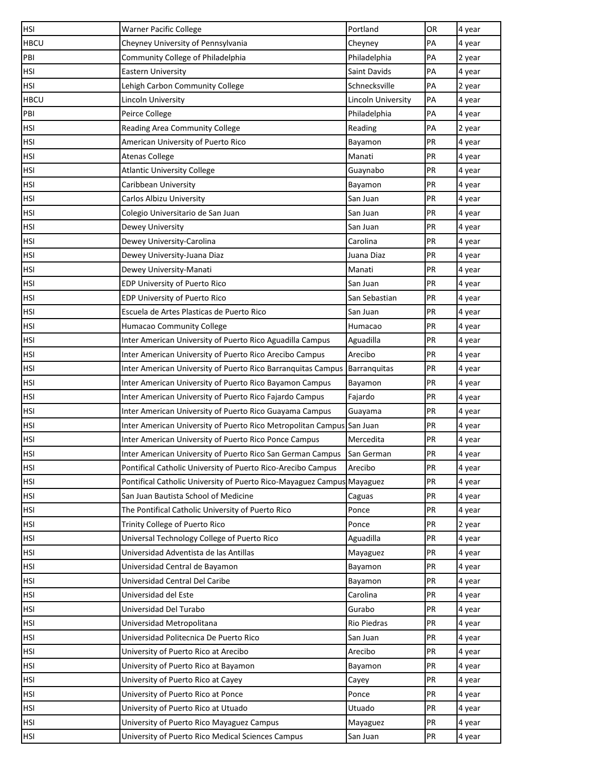| <b>HSI</b>  | Warner Pacific College                                                 | Portland           | OR | 4 year |
|-------------|------------------------------------------------------------------------|--------------------|----|--------|
| <b>HBCU</b> | Cheyney University of Pennsylvania                                     | Cheyney            | PA | 4 year |
| PBI         | Community College of Philadelphia                                      | Philadelphia       | PA | 2 year |
| <b>HSI</b>  | Eastern University                                                     | Saint Davids       | PA | 4 year |
| HSI         | Lehigh Carbon Community College                                        | Schnecksville      | PA | 2 year |
| <b>HBCU</b> | Lincoln University                                                     | Lincoln University | PA | 4 year |
| PBI         | Peirce College                                                         | Philadelphia       | PA | 4 year |
| HSI         | Reading Area Community College                                         | Reading            | PA | 2 year |
| <b>HSI</b>  | American University of Puerto Rico                                     | Bayamon            | PR | 4 year |
| HSI         | <b>Atenas College</b>                                                  | Manati             | PR | 4 year |
| <b>HSI</b>  | <b>Atlantic University College</b>                                     | Guaynabo           | PR | 4 year |
| <b>HSI</b>  | Caribbean University                                                   | Bayamon            | PR | 4 year |
| <b>HSI</b>  | Carlos Albizu University                                               | San Juan           | PR | 4 year |
| <b>HSI</b>  | Colegio Universitario de San Juan                                      | San Juan           | PR | 4 year |
| HSI         | Dewey University                                                       | San Juan           | PR | 4 year |
| <b>HSI</b>  | Dewey University-Carolina                                              | Carolina           | PR | 4 year |
| <b>HSI</b>  | Dewey University-Juana Diaz                                            | Juana Diaz         | PR | 4 year |
| <b>HSI</b>  | Dewey University-Manati                                                | Manati             | PR | 4 year |
| <b>HSI</b>  | EDP University of Puerto Rico                                          | San Juan           | PR | 4 year |
| HSI         | EDP University of Puerto Rico                                          | San Sebastian      | PR | 4 year |
| <b>HSI</b>  | Escuela de Artes Plasticas de Puerto Rico                              | San Juan           | PR | 4 year |
| HSI         | Humacao Community College                                              | Humacao            | PR | 4 year |
| HSI         | Inter American University of Puerto Rico Aguadilla Campus              | Aguadilla          | PR | 4 year |
| HSI         | Inter American University of Puerto Rico Arecibo Campus                | Arecibo            | PR | 4 year |
| <b>HSI</b>  | Inter American University of Puerto Rico Barranquitas Campus           | Barranquitas       | PR | 4 year |
| <b>HSI</b>  | Inter American University of Puerto Rico Bayamon Campus                | Bayamon            | PR | 4 year |
| <b>HSI</b>  | Inter American University of Puerto Rico Fajardo Campus                | Fajardo            | PR | 4 year |
| <b>HSI</b>  | Inter American University of Puerto Rico Guayama Campus                | Guayama            | PR | 4 year |
| <b>HSI</b>  | Inter American University of Puerto Rico Metropolitan Campus           | San Juan           | PR | 4 year |
| <b>HSI</b>  | Inter American University of Puerto Rico Ponce Campus                  | Mercedita          | PR | 4 year |
| <b>HSI</b>  | Inter American University of Puerto Rico San German Campus             | San German         | PR | 4 year |
| <b>HSI</b>  | Pontifical Catholic University of Puerto Rico-Arecibo Campus           | Arecibo            | PR | 4 year |
| <b>HSI</b>  | Pontifical Catholic University of Puerto Rico-Mayaguez Campus Mayaguez |                    | PR | 4 year |
| HSI         | San Juan Bautista School of Medicine                                   | Caguas             | PR | 4 year |
| <b>HSI</b>  | The Pontifical Catholic University of Puerto Rico                      | Ponce              | PR | 4 year |
| HSI         | Trinity College of Puerto Rico                                         | Ponce              | PR | 2 year |
| HSI         | Universal Technology College of Puerto Rico                            | Aguadilla          | PR | 4 year |
| <b>HSI</b>  | Universidad Adventista de las Antillas                                 | Mayaguez           | PR | 4 year |
| <b>HSI</b>  | Universidad Central de Bayamon                                         | Bayamon            | PR | 4 year |
| <b>HSI</b>  | Universidad Central Del Caribe                                         | Bayamon            | PR | 4 year |
| HSI         | Universidad del Este                                                   | Carolina           | PR | 4 year |
| <b>HSI</b>  | Universidad Del Turabo                                                 | Gurabo             | PR | 4 year |
| HSI         | Universidad Metropolitana                                              | <b>Rio Piedras</b> | PR | 4 year |
| HSI         | Universidad Politecnica De Puerto Rico                                 | San Juan           | PR | 4 year |
| <b>HSI</b>  | University of Puerto Rico at Arecibo                                   | Arecibo            | PR | 4 year |
| HSI         | University of Puerto Rico at Bayamon                                   | Bayamon            | PR | 4 year |
| HSI         | University of Puerto Rico at Cayey                                     | Cayey              | PR | 4 year |
| <b>HSI</b>  | University of Puerto Rico at Ponce                                     | Ponce              | PR | 4 year |
| HSI         | University of Puerto Rico at Utuado                                    | Utuado             | PR | 4 year |
| <b>HSI</b>  | University of Puerto Rico Mayaguez Campus                              | Mayaguez           | PR | 4 year |
| <b>HSI</b>  | University of Puerto Rico Medical Sciences Campus                      | San Juan           | PR | 4 year |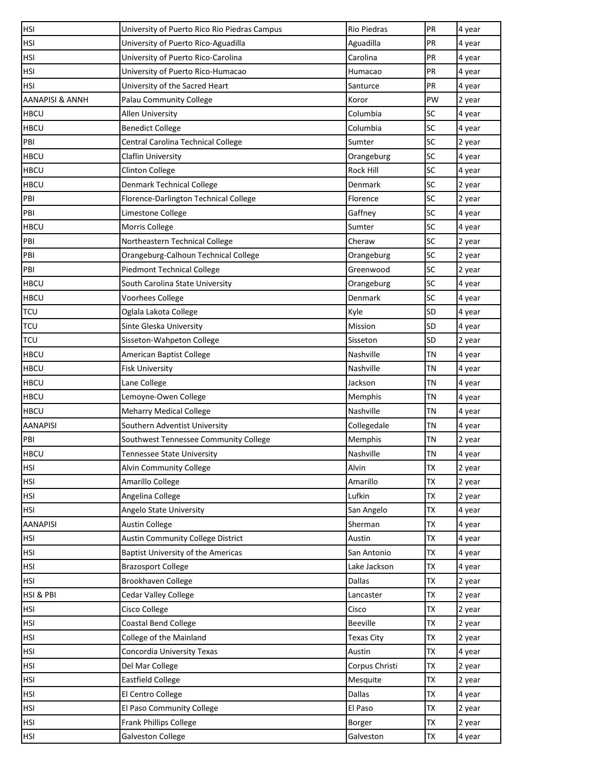| <b>HSI</b>                 | University of Puerto Rico Rio Piedras Campus | <b>Rio Piedras</b> | PR        | 4 year |
|----------------------------|----------------------------------------------|--------------------|-----------|--------|
| <b>HSI</b>                 | University of Puerto Rico-Aguadilla          | Aguadilla          | PR        | 4 year |
| <b>HSI</b>                 | University of Puerto Rico-Carolina           | Carolina           | PR        | 4 year |
| <b>HSI</b>                 | University of Puerto Rico-Humacao            | Humacao            | PR        | 4 year |
| <b>HSI</b>                 | University of the Sacred Heart               | Santurce           | PR        | 4 year |
| <b>AANAPISI &amp; ANNH</b> | Palau Community College                      | Koror              | PW        | 2 year |
| <b>HBCU</b>                | <b>Allen University</b>                      | Columbia           | <b>SC</b> | 4 year |
| <b>HBCU</b>                | <b>Benedict College</b>                      | Columbia           | SC        | 4 year |
| PBI                        | Central Carolina Technical College           | Sumter             | SC        | 2 year |
| <b>HBCU</b>                | Claflin University                           | Orangeburg         | <b>SC</b> | 4 year |
| <b>HBCU</b>                | <b>Clinton College</b>                       | Rock Hill          | <b>SC</b> | 4 year |
| <b>HBCU</b>                | Denmark Technical College                    | Denmark            | <b>SC</b> | 2 year |
| PBI                        | Florence-Darlington Technical College        | Florence           | <b>SC</b> | 2 year |
| PBI                        | Limestone College                            | Gaffney            | <b>SC</b> | 4 year |
| <b>HBCU</b>                | Morris College                               | Sumter             | SC        | 4 year |
| PBI                        | Northeastern Technical College               | Cheraw             | <b>SC</b> | 2 year |
| PBI                        | Orangeburg-Calhoun Technical College         | Orangeburg         | <b>SC</b> | 2 year |
| PBI                        | <b>Piedmont Technical College</b>            | Greenwood          | <b>SC</b> | 2 year |
| <b>HBCU</b>                | South Carolina State University              | Orangeburg         | <b>SC</b> | 4 year |
| <b>HBCU</b>                | Voorhees College                             | Denmark            | <b>SC</b> | 4 year |
| <b>TCU</b>                 | Oglala Lakota College                        | Kyle               | <b>SD</b> | 4 year |
| <b>TCU</b>                 | Sinte Gleska University                      | Mission            | SD        | 4 year |
| <b>TCU</b>                 | Sisseton-Wahpeton College                    | Sisseton           | <b>SD</b> | 2 year |
| <b>HBCU</b>                | American Baptist College                     | Nashville          | <b>TN</b> | 4 year |
| <b>HBCU</b>                | <b>Fisk University</b>                       | Nashville          | <b>TN</b> | 4 year |
| <b>HBCU</b>                | Lane College                                 | Jackson            | <b>TN</b> | 4 year |
| <b>HBCU</b>                | Lemoyne-Owen College                         | Memphis            | <b>TN</b> | 4 year |
| <b>HBCU</b>                | <b>Meharry Medical College</b>               | Nashville          | <b>TN</b> | 4 year |
| <b>AANAPISI</b>            | Southern Adventist University                | Collegedale        | <b>TN</b> | 4 year |
| PBI                        | Southwest Tennessee Community College        | Memphis            | <b>TN</b> | 2 year |
| <b>HBCU</b>                | <b>Tennessee State University</b>            | Nashville          | TN        | 4 year |
| <b>HSI</b>                 | Alvin Community College                      | Alvin              | <b>TX</b> | 2 year |
| <b>HSI</b>                 | Amarillo College                             | Amarillo           | <b>TX</b> | 2 year |
| <b>HSI</b>                 | Angelina College                             | Lufkin             | TX        | 2 year |
| <b>HSI</b>                 | Angelo State University                      | San Angelo         | <b>TX</b> | 4 year |
| <b>AANAPISI</b>            | <b>Austin College</b>                        | Sherman            | <b>TX</b> | 4 year |
| <b>HSI</b>                 | <b>Austin Community College District</b>     | Austin             | <b>TX</b> | 4 year |
| <b>HSI</b>                 | <b>Baptist University of the Americas</b>    | San Antonio        | TX        | 4 year |
| <b>HSI</b>                 | <b>Brazosport College</b>                    | Lake Jackson       | TX        | 4 year |
| <b>HSI</b>                 | Brookhaven College                           | <b>Dallas</b>      | <b>TX</b> | 2 year |
| HSI & PBI                  | Cedar Valley College                         | Lancaster          | <b>TX</b> | 2 year |
| <b>HSI</b>                 | Cisco College                                | Cisco              | <b>TX</b> | 2 year |
| <b>HSI</b>                 | <b>Coastal Bend College</b>                  | <b>Beeville</b>    | <b>TX</b> | 2 year |
| <b>HSI</b>                 | College of the Mainland                      | <b>Texas City</b>  | TX        | 2 year |
| <b>HSI</b>                 | Concordia University Texas                   | Austin             | <b>TX</b> | 4 year |
| <b>HSI</b>                 | Del Mar College                              | Corpus Christi     | TX        | 2 year |
| <b>HSI</b>                 | <b>Eastfield College</b>                     | Mesquite           | TX        | 2 year |
| <b>HSI</b>                 | El Centro College                            | <b>Dallas</b>      | <b>TX</b> | 4 year |
| <b>HSI</b>                 | El Paso Community College                    | El Paso            | <b>TX</b> | 2 year |
| <b>HSI</b>                 | Frank Phillips College                       | Borger             | <b>TX</b> | 2 year |
| HSI                        | <b>Galveston College</b>                     | Galveston          | TX        | 4 year |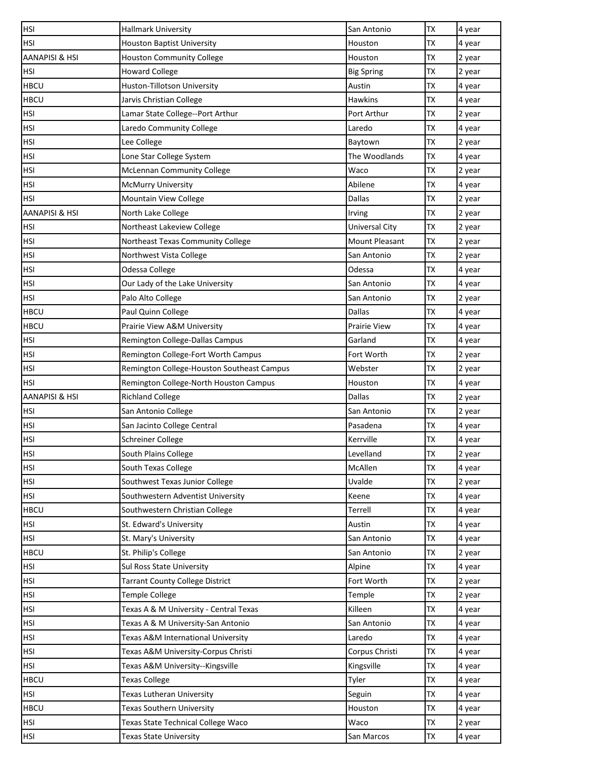| <b>HSI</b>                | <b>Hallmark University</b>                 | San Antonio           | <b>TX</b> | 4 year |
|---------------------------|--------------------------------------------|-----------------------|-----------|--------|
| HSI                       | <b>Houston Baptist University</b>          | Houston               | <b>TX</b> | 4 year |
| AANAPISI & HSI            | <b>Houston Community College</b>           | Houston               | TX        | 2 year |
| <b>HSI</b>                | <b>Howard College</b>                      | <b>Big Spring</b>     | <b>TX</b> | 2 year |
| <b>HBCU</b>               | Huston-Tillotson University                | Austin                | <b>TX</b> | 4 year |
| <b>HBCU</b>               | Jarvis Christian College                   | Hawkins               | <b>TX</b> | 4 year |
| <b>HSI</b>                | Lamar State College--Port Arthur           | Port Arthur           | <b>TX</b> | 2 year |
| HSI                       | Laredo Community College                   | Laredo                | TX        | 4 year |
| <b>HSI</b>                | Lee College                                | Baytown               | <b>TX</b> | 2 year |
| HSI                       | Lone Star College System                   | The Woodlands         | TX        | 4 year |
| <b>HSI</b>                | <b>McLennan Community College</b>          | Waco                  | <b>TX</b> | 2 year |
| HSI                       | McMurry University                         | Abilene               | <b>TX</b> | 4 year |
| <b>HSI</b>                | Mountain View College                      | Dallas                | TX        | 2 year |
| <b>AANAPISI &amp; HSI</b> | North Lake College                         | Irving                | <b>TX</b> | 2 year |
| HSI                       | Northeast Lakeview College                 | <b>Universal City</b> | TX        | 2 year |
| <b>HSI</b>                | Northeast Texas Community College          | Mount Pleasant        | <b>TX</b> | 2 year |
| HSI                       | Northwest Vista College                    | San Antonio           | TX        | 2 year |
| <b>HSI</b>                | Odessa College                             | Odessa                | <b>TX</b> | 4 year |
| <b>HSI</b>                | Our Lady of the Lake University            | San Antonio           | <b>TX</b> | 4 year |
| HSI                       | Palo Alto College                          | San Antonio           | TX        | 2 year |
| <b>HBCU</b>               | Paul Quinn College                         | <b>Dallas</b>         | <b>TX</b> | 4 year |
| <b>HBCU</b>               | Prairie View A&M University                | <b>Prairie View</b>   | <b>TX</b> | 4 year |
| HSI                       | Remington College-Dallas Campus            | Garland               | <b>TX</b> | 4 year |
| <b>HSI</b>                | Remington College-Fort Worth Campus        | Fort Worth            | <b>TX</b> | 2 year |
| HSI                       | Remington College-Houston Southeast Campus | Webster               | <b>TX</b> | 2 year |
| HSI                       | Remington College-North Houston Campus     | Houston               | TX        | 4 year |
| AANAPISI & HSI            | <b>Richland College</b>                    | Dallas                | <b>TX</b> | 2 year |
| HSI                       | San Antonio College                        | San Antonio           | <b>TX</b> | 2 year |
| <b>HSI</b>                | San Jacinto College Central                | Pasadena              | TX        | 4 year |
| <b>HSI</b>                | <b>Schreiner College</b>                   | Kerrville             | <b>TX</b> | 4 year |
| <b>HSI</b>                | South Plains College                       | Levelland             | <b>TX</b> | 2 year |
| <b>HSI</b>                | South Texas College                        | McAllen               | <b>TX</b> | 4 year |
| <b>HSI</b>                | Southwest Texas Junior College             | Uvalde                | <b>TX</b> | 2 year |
| HSI                       | Southwestern Adventist University          | Keene                 | TX        | 4 year |
| <b>HBCU</b>               | Southwestern Christian College             | Terrell               | <b>TX</b> | 4 year |
| HSI                       | St. Edward's University                    | Austin                | TX        | 4 year |
| <b>HSI</b>                | St. Mary's University                      | San Antonio           | <b>TX</b> | 4 year |
| <b>HBCU</b>               | St. Philip's College                       | San Antonio           | <b>TX</b> | 2 year |
| HSI                       | Sul Ross State University                  | Alpine                | TX        | 4 year |
| HSI                       | <b>Tarrant County College District</b>     | Fort Worth            | <b>TX</b> | 2 year |
| HSI                       | <b>Temple College</b>                      | Temple                | TX        | 2 year |
| <b>HSI</b>                | Texas A & M University - Central Texas     | Killeen               | <b>TX</b> | 4 year |
| <b>HSI</b>                | Texas A & M University-San Antonio         | San Antonio           | <b>TX</b> | 4 year |
| HSI                       | Texas A&M International University         | Laredo                | TX        | 4 year |
| <b>HSI</b>                | Texas A&M University-Corpus Christi        | Corpus Christi        | <b>TX</b> | 4 year |
| HSI                       | Texas A&M University--Kingsville           | Kingsville            | TX        | 4 year |
| <b>HBCU</b>               | <b>Texas College</b>                       | Tyler                 | <b>TX</b> | 4 year |
| <b>HSI</b>                | Texas Lutheran University                  | Seguin                | <b>TX</b> | 4 year |
| <b>HBCU</b>               | Texas Southern University                  | Houston               | <b>TX</b> | 4 year |
| <b>HSI</b>                | Texas State Technical College Waco         | Waco                  | <b>TX</b> | 2 year |
| <b>HSI</b>                | <b>Texas State University</b>              | San Marcos            | TX        | 4 year |
|                           |                                            |                       |           |        |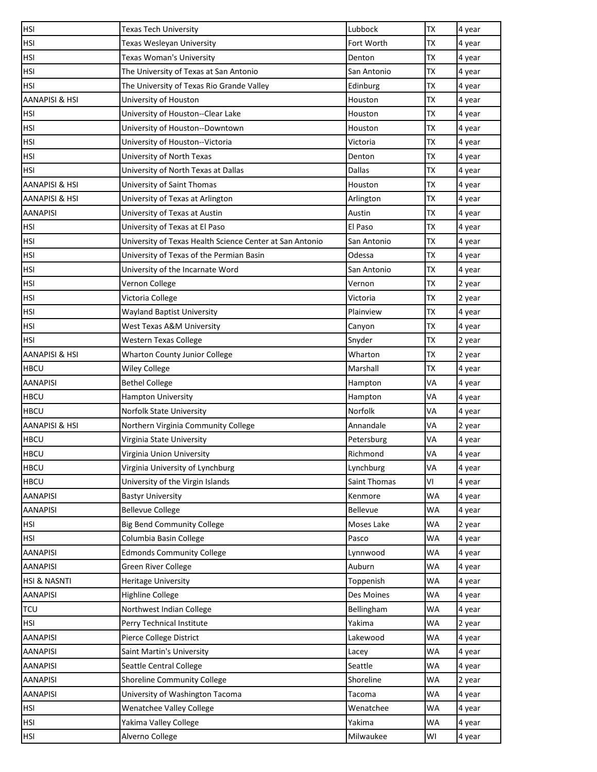| <b>HSI</b>                | <b>Texas Tech University</b>                             | Lubbock      | <b>TX</b> | 4 year |
|---------------------------|----------------------------------------------------------|--------------|-----------|--------|
| <b>HSI</b>                | Texas Wesleyan University                                | Fort Worth   | <b>TX</b> | 4 year |
| <b>HSI</b>                | Texas Woman's University                                 | Denton       | ТX        | 4 year |
| <b>HSI</b>                | The University of Texas at San Antonio                   | San Antonio  | <b>TX</b> | 4 year |
| <b>HSI</b>                | The University of Texas Rio Grande Valley                | Edinburg     | TX        | 4 year |
| <b>AANAPISI &amp; HSI</b> | University of Houston                                    | Houston      | <b>TX</b> | 4 year |
| <b>HSI</b>                | University of Houston--Clear Lake                        | Houston      | <b>TX</b> | 4 year |
| <b>HSI</b>                | University of Houston--Downtown                          | Houston      | TX        | 4 year |
| <b>HSI</b>                | University of Houston--Victoria                          | Victoria     | TX        | 4 year |
| <b>HSI</b>                | University of North Texas                                | Denton       | TX        | 4 year |
| <b>HSI</b>                | University of North Texas at Dallas                      | Dallas       | TX        | 4 year |
| AANAPISI & HSI            | University of Saint Thomas                               | Houston      | TX        | 4 year |
| AANAPISI & HSI            | University of Texas at Arlington                         | Arlington    | TX        | 4 year |
| <b>AANAPISI</b>           | University of Texas at Austin                            | Austin       | <b>TX</b> | 4 year |
| <b>HSI</b>                | University of Texas at El Paso                           | El Paso      | ТX        | 4 year |
| <b>HSI</b>                | University of Texas Health Science Center at San Antonio | San Antonio  | <b>TX</b> | 4 year |
| <b>HSI</b>                | University of Texas of the Permian Basin                 | Odessa       | ТX        | 4 year |
| <b>HSI</b>                | University of the Incarnate Word                         | San Antonio  | <b>TX</b> | 4 year |
| <b>HSI</b>                | Vernon College                                           | Vernon       | <b>TX</b> | 2 year |
| <b>HSI</b>                | Victoria College                                         | Victoria     | ТX        | 2 year |
| <b>HSI</b>                | <b>Wayland Baptist University</b>                        | Plainview    | <b>TX</b> | 4 year |
| <b>HSI</b>                | West Texas A&M University                                | Canyon       | <b>TX</b> | 4 year |
| <b>HSI</b>                | Western Texas College                                    | Snyder       | ТX        | 2 year |
| <b>AANAPISI &amp; HSI</b> | <b>Wharton County Junior College</b>                     | Wharton      | <b>TX</b> | 2 year |
| <b>HBCU</b>               | <b>Wiley College</b>                                     | Marshall     | <b>TX</b> | 4 year |
| <b>AANAPISI</b>           | <b>Bethel College</b>                                    | Hampton      | VA        | 4 year |
| <b>HBCU</b>               | Hampton University                                       | Hampton      | VA        | 4 year |
| <b>HBCU</b>               | Norfolk State University                                 | Norfolk      | VA        | 4 year |
| AANAPISI & HSI            | Northern Virginia Community College                      | Annandale    | VA        | 2 year |
| <b>HBCU</b>               | Virginia State University                                | Petersburg   | VA        | 4 year |
| <b>HBCU</b>               | Virginia Union University                                | Richmond     | VA        | 4 year |
| <b>HBCU</b>               | Virginia University of Lynchburg                         | Lynchburg    | VA        | 4 year |
| <b>HBCU</b>               | University of the Virgin Islands                         | Saint Thomas | VI        | 4 year |
| <b>AANAPISI</b>           | <b>Bastyr University</b>                                 | Kenmore      | WA        | 4 year |
| <b>AANAPISI</b>           | <b>Bellevue College</b>                                  | Bellevue     | WA        | 4 year |
| <b>HSI</b>                | <b>Big Bend Community College</b>                        | Moses Lake   | WA        | 2 year |
| <b>HSI</b>                | Columbia Basin College                                   | Pasco        | WA        | 4 year |
| <b>AANAPISI</b>           | <b>Edmonds Community College</b>                         | Lynnwood     | WA        | 4 year |
| <b>AANAPISI</b>           | Green River College                                      | Auburn       | WA        | 4 year |
| <b>HSI &amp; NASNTI</b>   | <b>Heritage University</b>                               | Toppenish    | WA        | 4 year |
| <b>AANAPISI</b>           | <b>Highline College</b>                                  | Des Moines   | WA        | 4 year |
| <b>TCU</b>                | Northwest Indian College                                 | Bellingham   | WA        | 4 year |
| <b>HSI</b>                | Perry Technical Institute                                | Yakima       | WA        | 2 year |
| <b>AANAPISI</b>           | Pierce College District                                  | Lakewood     | WA        | 4 year |
| <b>AANAPISI</b>           | Saint Martin's University                                | Lacey        | WA        | 4 year |
| <b>AANAPISI</b>           | Seattle Central College                                  | Seattle      | WA        | 4 year |
| <b>AANAPISI</b>           | Shoreline Community College                              | Shoreline    | WA        | 2 year |
| <b>AANAPISI</b>           | University of Washington Tacoma                          | Tacoma       | WA        | 4 year |
| <b>HSI</b>                | <b>Wenatchee Valley College</b>                          | Wenatchee    | WA        | 4 year |
| <b>HSI</b>                | Yakima Valley College                                    | Yakima       | WA        | 4 year |
| <b>HSI</b>                | Alverno College                                          | Milwaukee    | WI        | 4 year |